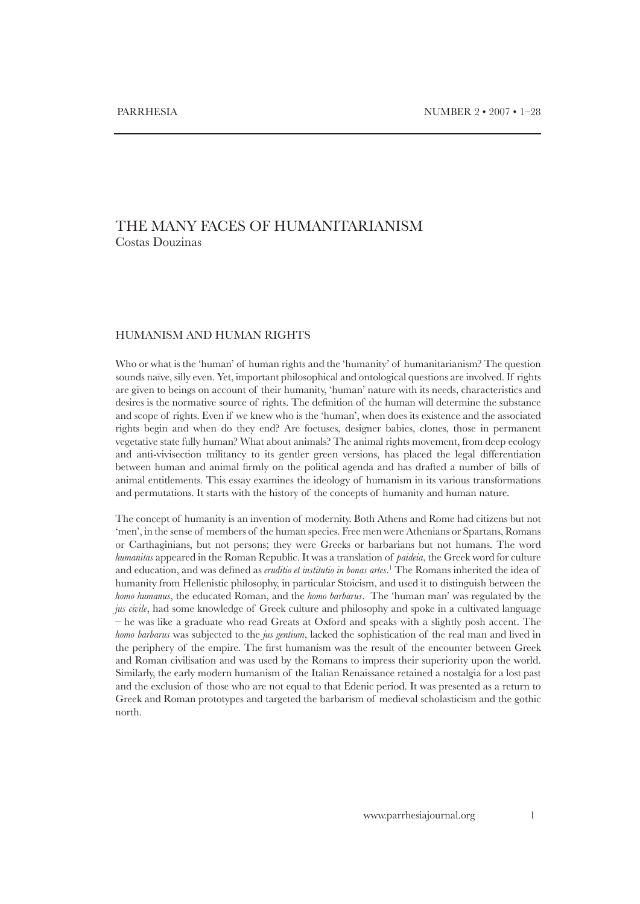# THE MANY FACES OF HUMANITARIANISM Costas Douzinas

### HUMANISM AND HUMAN RIGHTS

Who or what is the 'human' of human rights and the 'humanity' of humanitarianism? The question sounds naïve, silly even. Yet, important philosophical and ontological questions are involved. If rights are given to beings on account of their humanity, 'human' nature with its needs, characteristics and desires is the normative source of rights. The definition of the human will determine the substance and scope of rights. Even if we knew who is the 'human', when does its existence and the associated rights begin and when do they end? Are foetuses, designer babies, clones, those in permanent vegetative state fully human? What about animals? The animal rights movement, from deep ecology and anti-vivisection militancy to its gentler green versions, has placed the legal differentiation between human and animal firmly on the political agenda and has drafted a number of bills of animal entitlements. This essay examines the ideology of humanism in its various transformations and permutations. It starts with the history of the concepts of humanity and human nature.

The concept of humanity is an invention of modernity. Both Athens and Rome had citizens but not 'men', in the sense of members of the human species. Free men were Athenians or Spartans, Romans or Carthaginians, but not persons; they were Greeks or barbarians but not humans. The word *humanitas* appeared in the Roman Republic. It was a translation of *paideia*, the Greek word for culture and education, and was defined as *eruditio et institutio in bonas artes*. 1 The Romans inherited the idea of humanity from Hellenistic philosophy, in particular Stoicism, and used it to distinguish between the *homo humanus*, the educated Roman, and the *homo barbarus*. The 'human man' was regulated by the *jus civile*, had some knowledge of Greek culture and philosophy and spoke in a cultivated language – he was like a graduate who read Greats at Oxford and speaks with a slightly posh accent. The *homo barbarus* was subjected to the *jus gentium*, lacked the sophistication of the real man and lived in the periphery of the empire. The first humanism was the result of the encounter between Greek and Roman civilisation and was used by the Romans to impress their superiority upon the world. Similarly, the early modern humanism of the Italian Renaissance retained a nostalgia for a lost past and the exclusion of those who are not equal to that Edenic period. It was presented as a return to Greek and Roman prototypes and targeted the barbarism of medieval scholasticism and the gothic north.

www.parrhesiajournal.org 1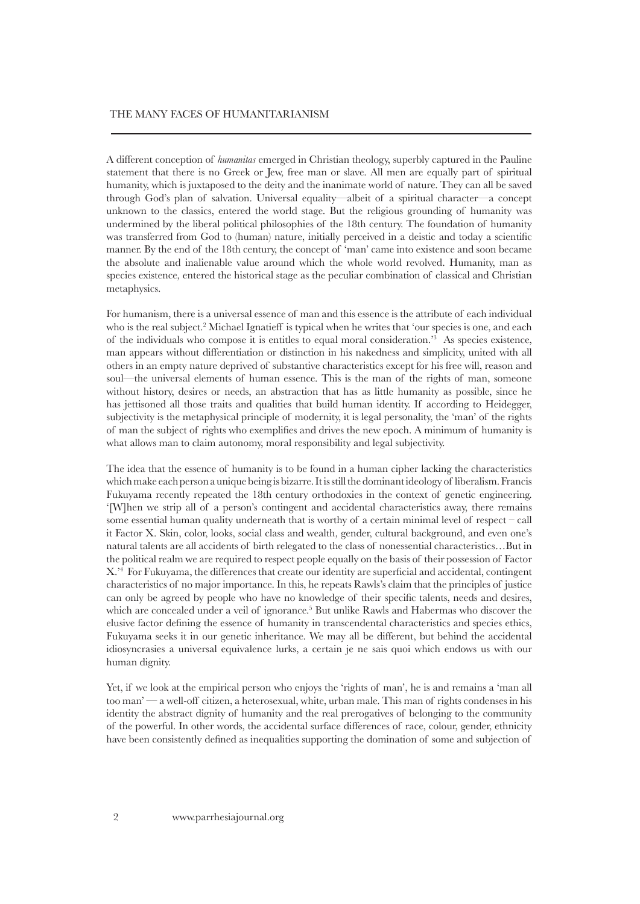A different conception of *humanitas* emerged in Christian theology, superbly captured in the Pauline statement that there is no Greek or Jew, free man or slave. All men are equally part of spiritual humanity, which is juxtaposed to the deity and the inanimate world of nature. They can all be saved through God's plan of salvation. Universal equality—albeit of a spiritual character—a concept unknown to the classics, entered the world stage. But the religious grounding of humanity was undermined by the liberal political philosophies of the 18th century. The foundation of humanity was transferred from God to (human) nature, initially perceived in a deistic and today a scientific manner. By the end of the 18th century, the concept of 'man' came into existence and soon became the absolute and inalienable value around which the whole world revolved. Humanity, man as species existence, entered the historical stage as the peculiar combination of classical and Christian metaphysics.

For humanism, there is a universal essence of man and this essence is the attribute of each individual who is the real subject.<sup>2</sup> Michael Ignatieff is typical when he writes that 'our species is one, and each of the individuals who compose it is entitles to equal moral consideration.<sup>33</sup> As species existence, man appears without differentiation or distinction in his nakedness and simplicity, united with all others in an empty nature deprived of substantive characteristics except for his free will, reason and soul—the universal elements of human essence. This is the man of the rights of man, someone without history, desires or needs, an abstraction that has as little humanity as possible, since he has jettisoned all those traits and qualities that build human identity. If according to Heidegger, subjectivity is the metaphysical principle of modernity, it is legal personality, the 'man' of the rights of man the subject of rights who exemplifies and drives the new epoch. A minimum of humanity is what allows man to claim autonomy, moral responsibility and legal subjectivity.

The idea that the essence of humanity is to be found in a human cipher lacking the characteristics which make each person a unique being is bizarre. It is still the dominant ideology of liberalism. Francis Fukuyama recently repeated the 18th century orthodoxies in the context of genetic engineering. '[W]hen we strip all of a person's contingent and accidental characteristics away, there remains some essential human quality underneath that is worthy of a certain minimal level of respect – call it Factor X. Skin, color, looks, social class and wealth, gender, cultural background, and even one's natural talents are all accidents of birth relegated to the class of nonessential characteristics…But in the political realm we are required to respect people equally on the basis of their possession of Factor X.'4 For Fukuyama, the differences that create our identity are superficial and accidental, contingent characteristics of no major importance. In this, he repeats Rawls's claim that the principles of justice can only be agreed by people who have no knowledge of their specific talents, needs and desires, which are concealed under a veil of ignorance.<sup>5</sup> But unlike Rawls and Habermas who discover the elusive factor defining the essence of humanity in transcendental characteristics and species ethics, Fukuyama seeks it in our genetic inheritance. We may all be different, but behind the accidental idiosyncrasies a universal equivalence lurks, a certain je ne sais quoi which endows us with our human dignity.

Yet, if we look at the empirical person who enjoys the 'rights of man', he is and remains a 'man all too man' — a well-off citizen, a heterosexual, white, urban male. This man of rights condenses in his identity the abstract dignity of humanity and the real prerogatives of belonging to the community of the powerful. In other words, the accidental surface differences of race, colour, gender, ethnicity have been consistently defined as inequalities supporting the domination of some and subjection of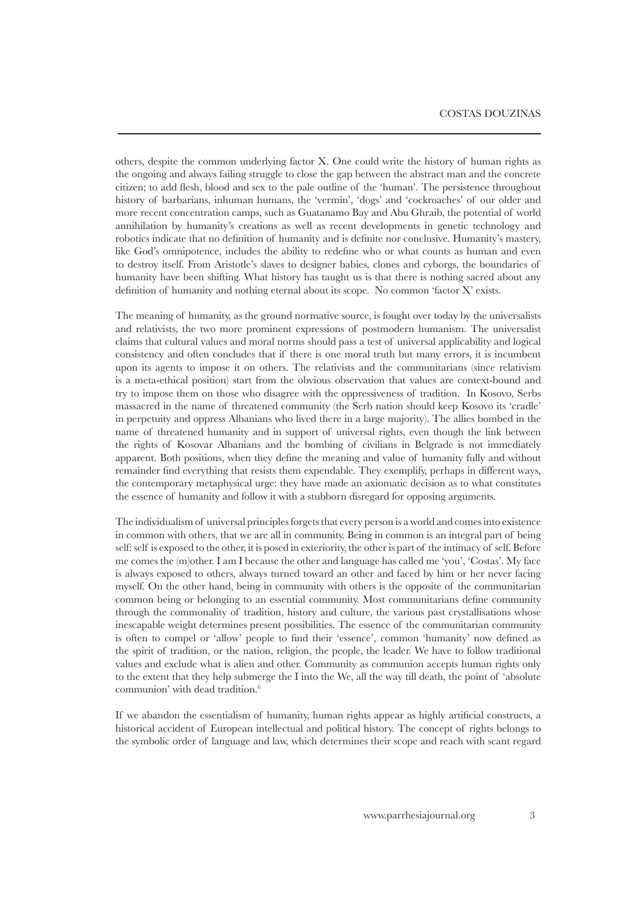others, despite the common underlying factor X. One could write the history of human rights as the ongoing and always failing struggle to close the gap between the abstract man and the concrete citizen; to add flesh, blood and sex to the pale outline of the 'human'. The persistence throughout history of barbarians, inhuman humans, the 'vermin', 'dogs' and 'cockroaches' of our older and more recent concentration camps, such as Guatanamo Bay and Abu Ghraib, the potential of world annihilation by humanity's creations as well as recent developments in genetic technology and robotics indicate that no definition of humanity and is definite nor conclusive. Humanity's mastery, like God's omnipotence, includes the ability to redefine who or what counts as human and even to destroy itself. From Aristotle's slaves to designer babies, clones and cyborgs, the boundaries of humanity have been shifting. What history has taught us is that there is nothing sacred about any definition of humanity and nothing eternal about its scope. No common 'factor X' exists.

The meaning of humanity, as the ground normative source, is fought over today by the universalists and relativists, the two more prominent expressions of postmodern humanism. The universalist claims that cultural values and moral norms should pass a test of universal applicability and logical consistency and often concludes that if there is one moral truth but many errors, it is incumbent upon its agents to impose it on others. The relativists and the communitarians (since relativism is a meta-ethical position) start from the obvious observation that values are context-bound and try to impose them on those who disagree with the oppressiveness of tradition. In Kosovo, Serbs massacred in the name of threatened community (the Serb nation should keep Kosovo its 'cradle' in perpetuity and oppress Albanians who lived there in a large majority). The allies bombed in the name of threatened humanity and in support of universal rights, even though the link between the rights of Kosovar Albanians and the bombing of civilians in Belgrade is not immediately apparent. Both positions, when they define the meaning and value of humanity fully and without remainder find everything that resists them expendable. They exemplify, perhaps in different ways, the contemporary metaphysical urge: they have made an axiomatic decision as to what constitutes the essence of humanity and follow it with a stubborn disregard for opposing arguments.

The individualism of universal principles forgets that every person is a world and comes into existence in common with others, that we are all in community. Being in common is an integral part of being self: self is exposed to the other, it is posed in exteriority, the other is part of the intimacy of self. Before me comes the (m)other. I am I because the other and language has called me 'you', 'Costas'. My face is always exposed to others, always turned toward an other and faced by him or her never facing myself. On the other hand, being in community with others is the opposite of the communitarian common being or belonging to an essential community. Most communitarians define community through the commonality of tradition, history and culture, the various past crystallisations whose inescapable weight determines present possibilities. The essence of the communitarian community is often to compel or 'allow' people to find their 'essence', common 'humanity' now defined as the spirit of tradition, or the nation, religion, the people, the leader. We have to follow traditional values and exclude what is alien and other. Community as communion accepts human rights only to the extent that they help submerge the I into the We, all the way till death, the point of 'absolute communion' with dead tradition.<sup>6</sup>

If we abandon the essentialism of humanity, human rights appear as highly artificial constructs, a historical accident of European intellectual and political history. The concept of rights belongs to the symbolic order of language and law, which determines their scope and reach with scant regard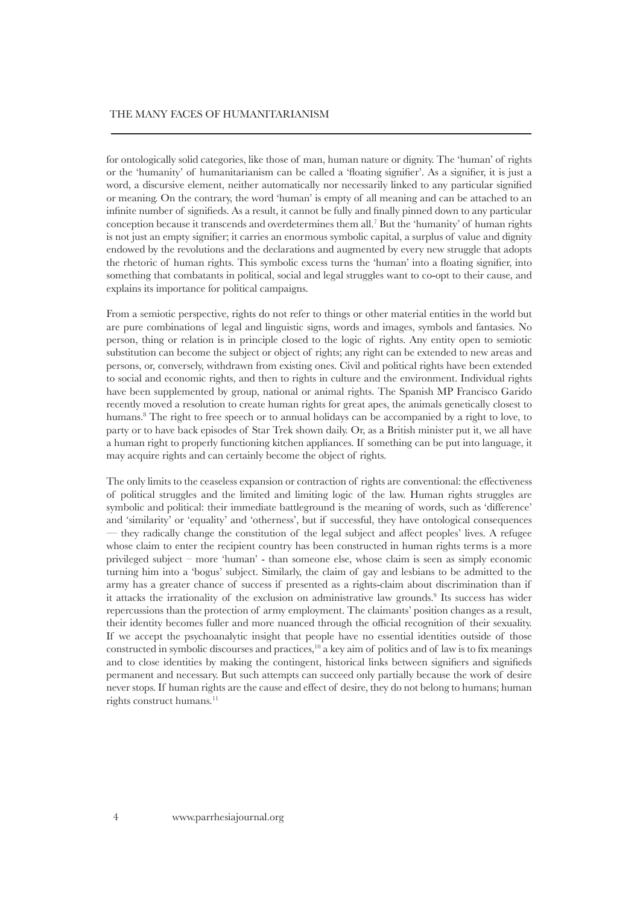for ontologically solid categories, like those of man, human nature or dignity. The 'human' of rights or the 'humanity' of humanitarianism can be called a 'floating signifier'. As a signifier, it is just a word, a discursive element, neither automatically nor necessarily linked to any particular signified or meaning. On the contrary, the word 'human' is empty of all meaning and can be attached to an infinite number of signifieds. As a result, it cannot be fully and finally pinned down to any particular conception because it transcends and overdetermines them all.7 But the 'humanity' of human rights is not just an empty signifier; it carries an enormous symbolic capital, a surplus of value and dignity endowed by the revolutions and the declarations and augmented by every new struggle that adopts the rhetoric of human rights. This symbolic excess turns the 'human' into a floating signifier, into something that combatants in political, social and legal struggles want to co-opt to their cause, and explains its importance for political campaigns.

From a semiotic perspective, rights do not refer to things or other material entities in the world but are pure combinations of legal and linguistic signs, words and images, symbols and fantasies. No person, thing or relation is in principle closed to the logic of rights. Any entity open to semiotic substitution can become the subject or object of rights; any right can be extended to new areas and persons, or, conversely, withdrawn from existing ones. Civil and political rights have been extended to social and economic rights, and then to rights in culture and the environment. Individual rights have been supplemented by group, national or animal rights. The Spanish MP Francisco Garido recently moved a resolution to create human rights for great apes, the animals genetically closest to humans.<sup>8</sup> The right to free speech or to annual holidays can be accompanied by a right to love, to party or to have back episodes of Star Trek shown daily. Or, as a British minister put it, we all have a human right to properly functioning kitchen appliances. If something can be put into language, it may acquire rights and can certainly become the object of rights.

The only limits to the ceaseless expansion or contraction of rights are conventional: the effectiveness of political struggles and the limited and limiting logic of the law. Human rights struggles are symbolic and political: their immediate battleground is the meaning of words, such as 'difference' and 'similarity' or 'equality' and 'otherness', but if successful, they have ontological consequences — they radically change the constitution of the legal subject and affect peoples' lives. A refugee whose claim to enter the recipient country has been constructed in human rights terms is a more privileged subject – more 'human' - than someone else, whose claim is seen as simply economic turning him into a 'bogus' subject. Similarly, the claim of gay and lesbians to be admitted to the army has a greater chance of success if presented as a rights-claim about discrimination than if it attacks the irrationality of the exclusion on administrative law grounds.9 Its success has wider repercussions than the protection of army employment. The claimants' position changes as a result, their identity becomes fuller and more nuanced through the official recognition of their sexuality. If we accept the psychoanalytic insight that people have no essential identities outside of those constructed in symbolic discourses and practices,10 a key aim of politics and of law is to fix meanings and to close identities by making the contingent, historical links between signifiers and signifieds permanent and necessary. But such attempts can succeed only partially because the work of desire never stops. If human rights are the cause and effect of desire, they do not belong to humans; human rights construct humans.<sup>11</sup>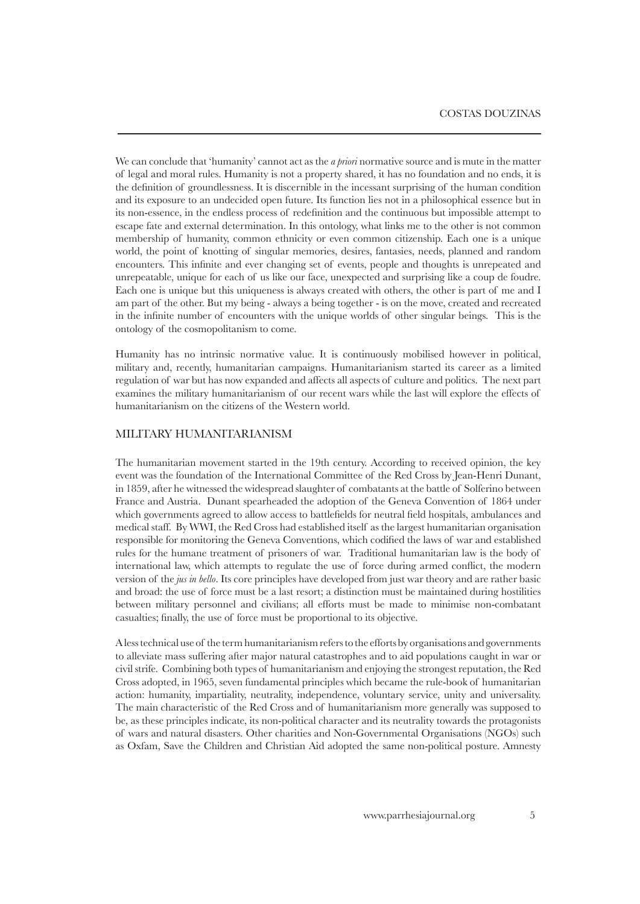We can conclude that 'humanity' cannot act as the *a priori* normative source and is mute in the matter of legal and moral rules. Humanity is not a property shared, it has no foundation and no ends, it is the definition of groundlessness. It is discernible in the incessant surprising of the human condition and its exposure to an undecided open future. Its function lies not in a philosophical essence but in its non-essence, in the endless process of redefinition and the continuous but impossible attempt to escape fate and external determination. In this ontology, what links me to the other is not common membership of humanity, common ethnicity or even common citizenship. Each one is a unique world, the point of knotting of singular memories, desires, fantasies, needs, planned and random encounters. This infinite and ever changing set of events, people and thoughts is unrepeated and unrepeatable, unique for each of us like our face, unexpected and surprising like a coup de foudre. Each one is unique but this uniqueness is always created with others, the other is part of me and I am part of the other. But my being - always a being together - is on the move, created and recreated in the infinite number of encounters with the unique worlds of other singular beings. This is the ontology of the cosmopolitanism to come.

Humanity has no intrinsic normative value. It is continuously mobilised however in political, military and, recently, humanitarian campaigns. Humanitarianism started its career as a limited regulation of war but has now expanded and affects all aspects of culture and politics. The next part examines the military humanitarianism of our recent wars while the last will explore the effects of humanitarianism on the citizens of the Western world.

#### MILITARY HUMANITARIANISM

The humanitarian movement started in the 19th century. According to received opinion, the key event was the foundation of the International Committee of the Red Cross by Jean-Henri Dunant, in 1859, after he witnessed the widespread slaughter of combatants at the battle of Solferino between France and Austria. Dunant spearheaded the adoption of the Geneva Convention of 1864 under which governments agreed to allow access to battlefields for neutral field hospitals, ambulances and medical staff. By WWI, the Red Cross had established itself as the largest humanitarian organisation responsible for monitoring the Geneva Conventions, which codified the laws of war and established rules for the humane treatment of prisoners of war. Traditional humanitarian law is the body of international law, which attempts to regulate the use of force during armed conflict, the modern version of the *jus in bello*. Its core principles have developed from just war theory and are rather basic and broad: the use of force must be a last resort; a distinction must be maintained during hostilities between military personnel and civilians; all efforts must be made to minimise non-combatant casualties; finally, the use of force must be proportional to its objective.

A less technical use of the term humanitarianism refers to the efforts by organisations and governments to alleviate mass suffering after major natural catastrophes and to aid populations caught in war or civil strife. Combining both types of humanitarianism and enjoying the strongest reputation, the Red Cross adopted, in 1965, seven fundamental principles which became the rule-book of humanitarian action: humanity, impartiality, neutrality, independence, voluntary service, unity and universality. The main characteristic of the Red Cross and of humanitarianism more generally was supposed to be, as these principles indicate, its non-political character and its neutrality towards the protagonists of wars and natural disasters. Other charities and Non-Governmental Organisations (NGOs) such as Oxfam, Save the Children and Christian Aid adopted the same non-political posture. Amnesty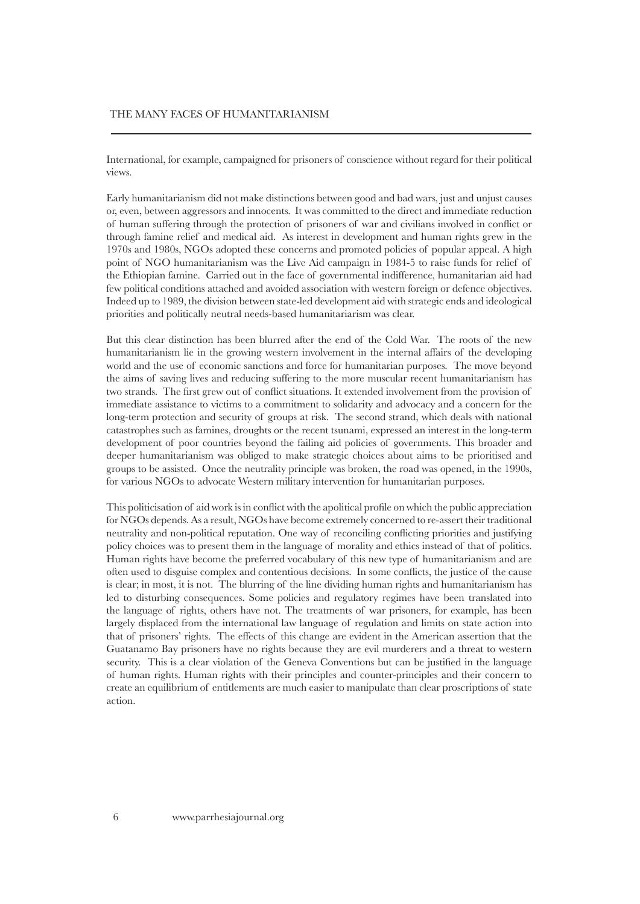International, for example, campaigned for prisoners of conscience without regard for their political views.

Early humanitarianism did not make distinctions between good and bad wars, just and unjust causes or, even, between aggressors and innocents. It was committed to the direct and immediate reduction of human suffering through the protection of prisoners of war and civilians involved in conflict or through famine relief and medical aid. As interest in development and human rights grew in the 1970s and 1980s, NGOs adopted these concerns and promoted policies of popular appeal. A high point of NGO humanitarianism was the Live Aid campaign in 1984-5 to raise funds for relief of the Ethiopian famine. Carried out in the face of governmental indifference, humanitarian aid had few political conditions attached and avoided association with western foreign or defence objectives. Indeed up to 1989, the division between state-led development aid with strategic ends and ideological priorities and politically neutral needs-based humanitariarism was clear.

But this clear distinction has been blurred after the end of the Cold War. The roots of the new humanitarianism lie in the growing western involvement in the internal affairs of the developing world and the use of economic sanctions and force for humanitarian purposes. The move beyond the aims of saving lives and reducing suffering to the more muscular recent humanitarianism has two strands. The first grew out of conflict situations. It extended involvement from the provision of immediate assistance to victims to a commitment to solidarity and advocacy and a concern for the long-term protection and security of groups at risk. The second strand, which deals with national catastrophes such as famines, droughts or the recent tsunami, expressed an interest in the long-term development of poor countries beyond the failing aid policies of governments. This broader and deeper humanitarianism was obliged to make strategic choices about aims to be prioritised and groups to be assisted. Once the neutrality principle was broken, the road was opened, in the 1990s, for various NGOs to advocate Western military intervention for humanitarian purposes.

This politicisation of aid work is in conflict with the apolitical profile on which the public appreciation for NGOs depends. As a result, NGOs have become extremely concerned to re-assert their traditional neutrality and non-political reputation. One way of reconciling conflicting priorities and justifying policy choices was to present them in the language of morality and ethics instead of that of politics. Human rights have become the preferred vocabulary of this new type of humanitarianism and are often used to disguise complex and contentious decisions. In some conflicts, the justice of the cause is clear; in most, it is not. The blurring of the line dividing human rights and humanitarianism has led to disturbing consequences. Some policies and regulatory regimes have been translated into the language of rights, others have not. The treatments of war prisoners, for example, has been largely displaced from the international law language of regulation and limits on state action into that of prisoners' rights. The effects of this change are evident in the American assertion that the Guatanamo Bay prisoners have no rights because they are evil murderers and a threat to western security. This is a clear violation of the Geneva Conventions but can be justified in the language of human rights. Human rights with their principles and counter-principles and their concern to create an equilibrium of entitlements are much easier to manipulate than clear proscriptions of state action.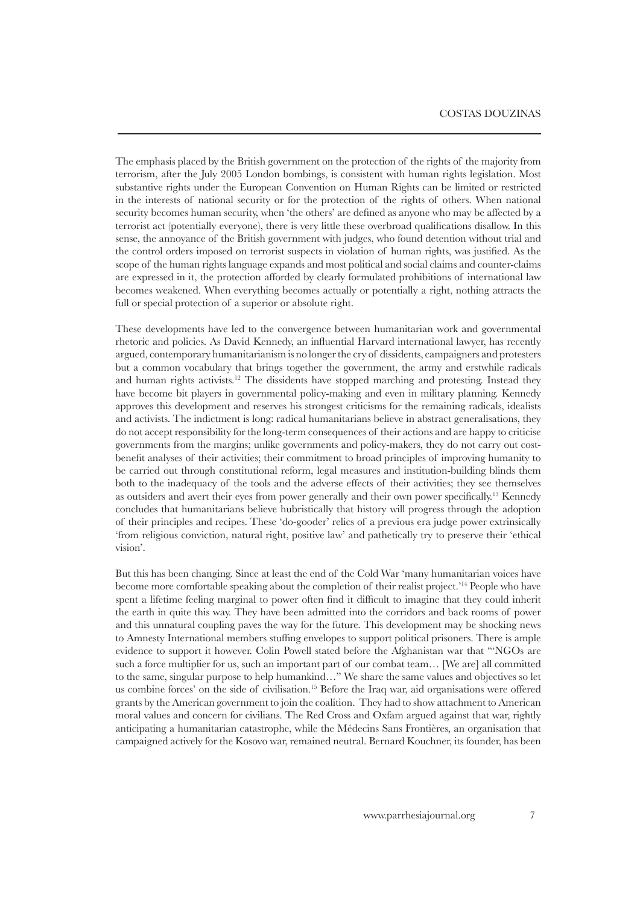The emphasis placed by the British government on the protection of the rights of the majority from terrorism, after the July 2005 London bombings, is consistent with human rights legislation. Most substantive rights under the European Convention on Human Rights can be limited or restricted in the interests of national security or for the protection of the rights of others. When national security becomes human security, when 'the others' are defined as anyone who may be affected by a terrorist act (potentially everyone), there is very little these overbroad qualifications disallow. In this sense, the annoyance of the British government with judges, who found detention without trial and the control orders imposed on terrorist suspects in violation of human rights, was justified. As the scope of the human rights language expands and most political and social claims and counter-claims are expressed in it, the protection afforded by clearly formulated prohibitions of international law becomes weakened. When everything becomes actually or potentially a right, nothing attracts the full or special protection of a superior or absolute right.

These developments have led to the convergence between humanitarian work and governmental rhetoric and policies. As David Kennedy, an influential Harvard international lawyer, has recently argued, contemporary humanitarianism is no longer the cry of dissidents, campaigners and protesters but a common vocabulary that brings together the government, the army and erstwhile radicals and human rights activists.<sup>12</sup> The dissidents have stopped marching and protesting. Instead they have become bit players in governmental policy-making and even in military planning. Kennedy approves this development and reserves his strongest criticisms for the remaining radicals, idealists and activists. The indictment is long: radical humanitarians believe in abstract generalisations, they do not accept responsibility for the long-term consequences of their actions and are happy to criticise governments from the margins; unlike governments and policy-makers, they do not carry out costbenefit analyses of their activities; their commitment to broad principles of improving humanity to be carried out through constitutional reform, legal measures and institution-building blinds them both to the inadequacy of the tools and the adverse effects of their activities; they see themselves as outsiders and avert their eyes from power generally and their own power specifically.<sup>13</sup> Kennedy concludes that humanitarians believe hubristically that history will progress through the adoption of their principles and recipes. These 'do-gooder' relics of a previous era judge power extrinsically 'from religious conviction, natural right, positive law' and pathetically try to preserve their 'ethical vision'.

But this has been changing. Since at least the end of the Cold War 'many humanitarian voices have become more comfortable speaking about the completion of their realist project.'14 People who have spent a lifetime feeling marginal to power often find it difficult to imagine that they could inherit the earth in quite this way. They have been admitted into the corridors and back rooms of power and this unnatural coupling paves the way for the future. This development may be shocking news to Amnesty International members stuffing envelopes to support political prisoners. There is ample evidence to support it however. Colin Powell stated before the Afghanistan war that "'NGOs are such a force multiplier for us, such an important part of our combat team… [We are] all committed to the same, singular purpose to help humankind…" We share the same values and objectives so let us combine forces' on the side of civilisation.15 Before the Iraq war, aid organisations were offered grants by the American government to join the coalition. They had to show attachment to American moral values and concern for civilians. The Red Cross and Oxfam argued against that war, rightly anticipating a humanitarian catastrophe, while the Médecins Sans Frontières, an organisation that campaigned actively for the Kosovo war, remained neutral. Bernard Kouchner, its founder, has been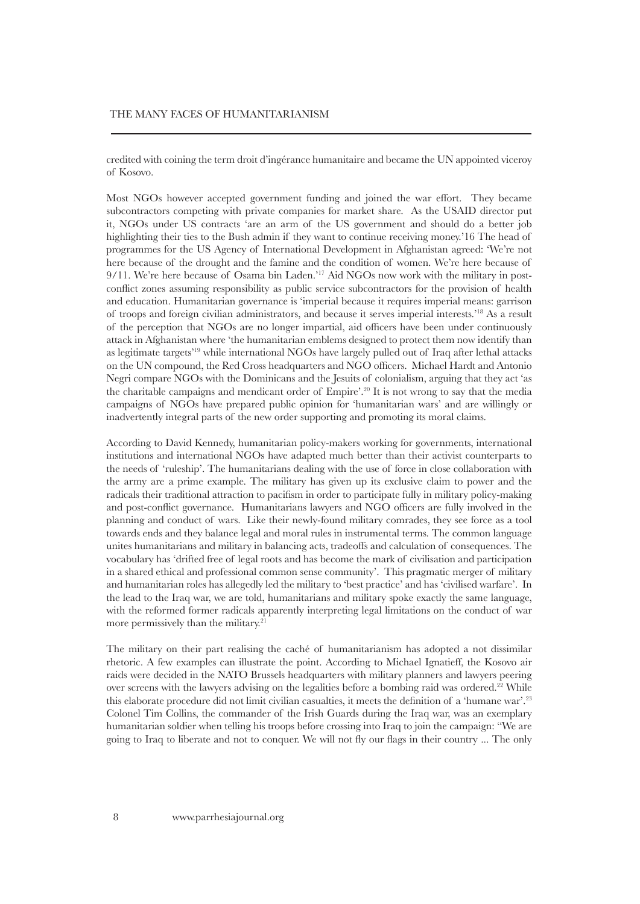credited with coining the term droit d'ingérance humanitaire and became the UN appointed viceroy of Kosovo.

Most NGOs however accepted government funding and joined the war effort. They became subcontractors competing with private companies for market share. As the USAID director put it, NGOs under US contracts 'are an arm of the US government and should do a better job highlighting their ties to the Bush admin if they want to continue receiving money.'16 The head of programmes for the US Agency of International Development in Afghanistan agreed: 'We're not here because of the drought and the famine and the condition of women. We're here because of 9/11. We're here because of Osama bin Laden.'17 Aid NGOs now work with the military in postconflict zones assuming responsibility as public service subcontractors for the provision of health and education. Humanitarian governance is 'imperial because it requires imperial means: garrison of troops and foreign civilian administrators, and because it serves imperial interests.'18 As a result of the perception that NGOs are no longer impartial, aid officers have been under continuously attack in Afghanistan where 'the humanitarian emblems designed to protect them now identify than as legitimate targets'19 while international NGOs have largely pulled out of Iraq after lethal attacks on the UN compound, the Red Cross headquarters and NGO officers. Michael Hardt and Antonio Negri compare NGOs with the Dominicans and the Jesuits of colonialism, arguing that they act 'as the charitable campaigns and mendicant order of Empire'.20 It is not wrong to say that the media campaigns of NGOs have prepared public opinion for 'humanitarian wars' and are willingly or inadvertently integral parts of the new order supporting and promoting its moral claims.

According to David Kennedy, humanitarian policy-makers working for governments, international institutions and international NGOs have adapted much better than their activist counterparts to the needs of 'ruleship'. The humanitarians dealing with the use of force in close collaboration with the army are a prime example. The military has given up its exclusive claim to power and the radicals their traditional attraction to pacifism in order to participate fully in military policy-making and post-conflict governance. Humanitarians lawyers and NGO officers are fully involved in the planning and conduct of wars. Like their newly-found military comrades, they see force as a tool towards ends and they balance legal and moral rules in instrumental terms. The common language unites humanitarians and military in balancing acts, tradeoffs and calculation of consequences. The vocabulary has 'drifted free of legal roots and has become the mark of civilisation and participation in a shared ethical and professional common sense community'. This pragmatic merger of military and humanitarian roles has allegedly led the military to 'best practice' and has 'civilised warfare'. In the lead to the Iraq war, we are told, humanitarians and military spoke exactly the same language, with the reformed former radicals apparently interpreting legal limitations on the conduct of war more permissively than the military.<sup>21</sup>

The military on their part realising the caché of humanitarianism has adopted a not dissimilar rhetoric. A few examples can illustrate the point. According to Michael Ignatieff, the Kosovo air raids were decided in the NATO Brussels headquarters with military planners and lawyers peering over screens with the lawyers advising on the legalities before a bombing raid was ordered.<sup>22</sup> While this elaborate procedure did not limit civilian casualties, it meets the definition of a 'humane war'.23 Colonel Tim Collins, the commander of the Irish Guards during the Iraq war, was an exemplary humanitarian soldier when telling his troops before crossing into Iraq to join the campaign: "We are going to Iraq to liberate and not to conquer. We will not fly our flags in their country ... The only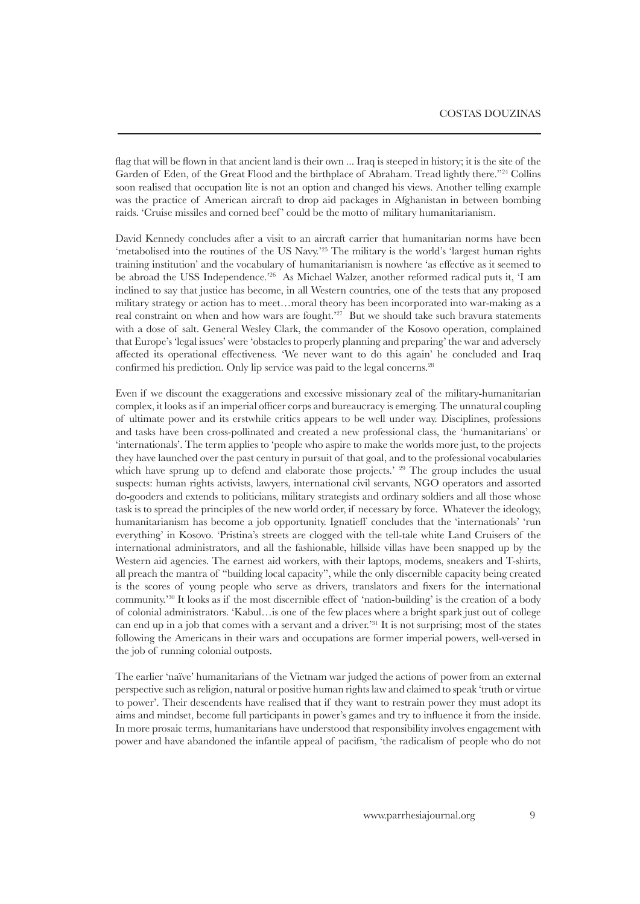flag that will be flown in that ancient land is their own ... Iraq is steeped in history; it is the site of the Garden of Eden, of the Great Flood and the birthplace of Abraham. Tread lightly there."<sup>24</sup> Collins soon realised that occupation lite is not an option and changed his views. Another telling example was the practice of American aircraft to drop aid packages in Afghanistan in between bombing raids. 'Cruise missiles and corned beef' could be the motto of military humanitarianism.

David Kennedy concludes after a visit to an aircraft carrier that humanitarian norms have been 'metabolised into the routines of the US Navy.'<sup>25</sup> The military is the world's 'largest human rights training institution' and the vocabulary of humanitarianism is nowhere 'as effective as it seemed to be abroad the USS Independence.'<sup>26</sup> As Michael Walzer, another reformed radical puts it, 'I am inclined to say that justice has become, in all Western countries, one of the tests that any proposed military strategy or action has to meet…moral theory has been incorporated into war-making as a real constraint on when and how wars are fought.'27 But we should take such bravura statements with a dose of salt. General Wesley Clark, the commander of the Kosovo operation, complained that Europe's 'legal issues' were 'obstacles to properly planning and preparing' the war and adversely affected its operational effectiveness. 'We never want to do this again' he concluded and Iraq confirmed his prediction. Only lip service was paid to the legal concerns.<sup>28</sup>

Even if we discount the exaggerations and excessive missionary zeal of the military-humanitarian complex, it looks as if an imperial officer corps and bureaucracy is emerging. The unnatural coupling of ultimate power and its erstwhile critics appears to be well under way. Disciplines, professions and tasks have been cross-pollinated and created a new professional class, the 'humanitarians' or 'internationals'. The term applies to 'people who aspire to make the worlds more just, to the projects they have launched over the past century in pursuit of that goal, and to the professional vocabularies which have sprung up to defend and elaborate those projects.' <sup>29</sup> The group includes the usual suspects: human rights activists, lawyers, international civil servants, NGO operators and assorted do-gooders and extends to politicians, military strategists and ordinary soldiers and all those whose task is to spread the principles of the new world order, if necessary by force. Whatever the ideology, humanitarianism has become a job opportunity. Ignatieff concludes that the 'internationals' 'run everything' in Kosovo. 'Pristina's streets are clogged with the tell-tale white Land Cruisers of the international administrators, and all the fashionable, hillside villas have been snapped up by the Western aid agencies. The earnest aid workers, with their laptops, modems, sneakers and T-shirts, all preach the mantra of "building local capacity", while the only discernible capacity being created is the scores of young people who serve as drivers, translators and fixers for the international community.'30 It looks as if the most discernible effect of 'nation-building' is the creation of a body of colonial administrators. 'Kabul…is one of the few places where a bright spark just out of college can end up in a job that comes with a servant and a driver.'31 It is not surprising; most of the states following the Americans in their wars and occupations are former imperial powers, well-versed in the job of running colonial outposts.

The earlier 'naïve' humanitarians of the Vietnam war judged the actions of power from an external perspective such as religion, natural or positive human rights law and claimed to speak 'truth or virtue to power'. Their descendents have realised that if they want to restrain power they must adopt its aims and mindset, become full participants in power's games and try to influence it from the inside. In more prosaic terms, humanitarians have understood that responsibility involves engagement with power and have abandoned the infantile appeal of pacifism, 'the radicalism of people who do not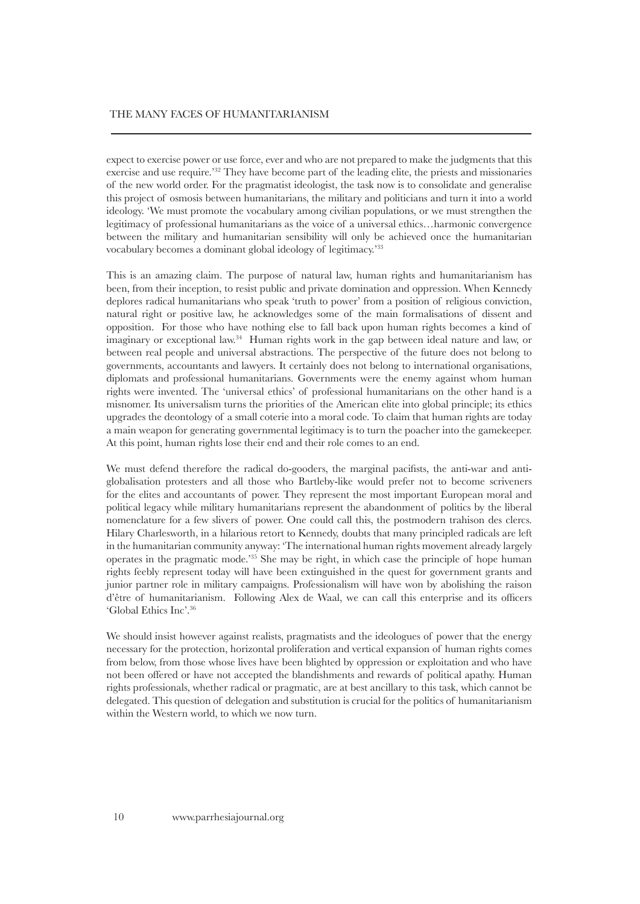expect to exercise power or use force, ever and who are not prepared to make the judgments that this exercise and use require.'32 They have become part of the leading elite, the priests and missionaries of the new world order. For the pragmatist ideologist, the task now is to consolidate and generalise this project of osmosis between humanitarians, the military and politicians and turn it into a world ideology. 'We must promote the vocabulary among civilian populations, or we must strengthen the legitimacy of professional humanitarians as the voice of a universal ethics…harmonic convergence between the military and humanitarian sensibility will only be achieved once the humanitarian vocabulary becomes a dominant global ideology of legitimacy.'33

This is an amazing claim. The purpose of natural law, human rights and humanitarianism has been, from their inception, to resist public and private domination and oppression. When Kennedy deplores radical humanitarians who speak 'truth to power' from a position of religious conviction, natural right or positive law, he acknowledges some of the main formalisations of dissent and opposition. For those who have nothing else to fall back upon human rights becomes a kind of imaginary or exceptional law.34 Human rights work in the gap between ideal nature and law, or between real people and universal abstractions. The perspective of the future does not belong to governments, accountants and lawyers. It certainly does not belong to international organisations, diplomats and professional humanitarians. Governments were the enemy against whom human rights were invented. The 'universal ethics' of professional humanitarians on the other hand is a misnomer. Its universalism turns the priorities of the American elite into global principle; its ethics upgrades the deontology of a small coterie into a moral code. To claim that human rights are today a main weapon for generating governmental legitimacy is to turn the poacher into the gamekeeper. At this point, human rights lose their end and their role comes to an end.

We must defend therefore the radical do-gooders, the marginal pacifists, the anti-war and antiglobalisation protesters and all those who Bartleby-like would prefer not to become scriveners for the elites and accountants of power. They represent the most important European moral and political legacy while military humanitarians represent the abandonment of politics by the liberal nomenclature for a few slivers of power. One could call this, the postmodern trahison des clercs. Hilary Charlesworth, in a hilarious retort to Kennedy, doubts that many principled radicals are left in the humanitarian community anyway: 'The international human rights movement already largely operates in the pragmatic mode.'35 She may be right, in which case the principle of hope human rights feebly represent today will have been extinguished in the quest for government grants and junior partner role in military campaigns. Professionalism will have won by abolishing the raison d'être of humanitarianism. Following Alex de Waal, we can call this enterprise and its officers 'Global Ethics Inc'.36

We should insist however against realists, pragmatists and the ideologues of power that the energy necessary for the protection, horizontal proliferation and vertical expansion of human rights comes from below, from those whose lives have been blighted by oppression or exploitation and who have not been offered or have not accepted the blandishments and rewards of political apathy. Human rights professionals, whether radical or pragmatic, are at best ancillary to this task, which cannot be delegated. This question of delegation and substitution is crucial for the politics of humanitarianism within the Western world, to which we now turn.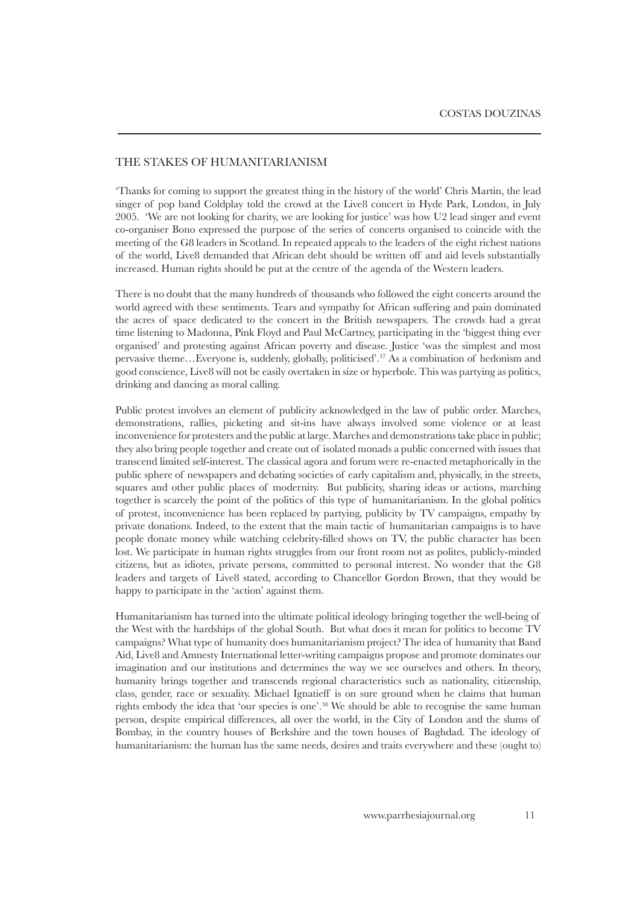### THE STAKES OF HUMANITARIANISM

'Thanks for coming to support the greatest thing in the history of the world' Chris Martin, the lead singer of pop band Coldplay told the crowd at the Live8 concert in Hyde Park, London, in July 2005. 'We are not looking for charity, we are looking for justice' was how U2 lead singer and event co-organiser Bono expressed the purpose of the series of concerts organised to coincide with the meeting of the G8 leaders in Scotland. In repeated appeals to the leaders of the eight richest nations of the world, Live8 demanded that African debt should be written off and aid levels substantially increased. Human rights should be put at the centre of the agenda of the Western leaders.

There is no doubt that the many hundreds of thousands who followed the eight concerts around the world agreed with these sentiments. Tears and sympathy for African suffering and pain dominated the acres of space dedicated to the concert in the British newspapers. The crowds had a great time listening to Madonna, Pink Floyd and Paul McCartney, participating in the 'biggest thing ever organised' and protesting against African poverty and disease. Justice 'was the simplest and most pervasive theme…Everyone is, suddenly, globally, politicised'.37 As a combination of hedonism and good conscience, Live8 will not be easily overtaken in size or hyperbole. This was partying as politics, drinking and dancing as moral calling.

Public protest involves an element of publicity acknowledged in the law of public order. Marches, demonstrations, rallies, picketing and sit-ins have always involved some violence or at least inconvenience for protesters and the public at large. Marches and demonstrations take place in public; they also bring people together and create out of isolated monads a public concerned with issues that transcend limited self-interest. The classical agora and forum were re-enacted metaphorically in the public sphere of newspapers and debating societies of early capitalism and, physically, in the streets, squares and other public places of modernity. But publicity, sharing ideas or actions, marching together is scarcely the point of the politics of this type of humanitarianism. In the global politics of protest, inconvenience has been replaced by partying, publicity by TV campaigns, empathy by private donations. Indeed, to the extent that the main tactic of humanitarian campaigns is to have people donate money while watching celebrity-filled shows on TV, the public character has been lost. We participate in human rights struggles from our front room not as polites, publicly-minded citizens, but as idiotes, private persons, committed to personal interest. No wonder that the G8 leaders and targets of Live8 stated, according to Chancellor Gordon Brown, that they would be happy to participate in the 'action' against them.

Humanitarianism has turned into the ultimate political ideology bringing together the well-being of the West with the hardships of the global South. But what does it mean for politics to become TV campaigns? What type of humanity does humanitarianism project? The idea of humanity that Band Aid, Live8 and Amnesty International letter-writing campaigns propose and promote dominates our imagination and our institutions and determines the way we see ourselves and others. In theory, humanity brings together and transcends regional characteristics such as nationality, citizenship, class, gender, race or sexuality. Michael Ignatieff is on sure ground when he claims that human rights embody the idea that 'our species is one'.38 We should be able to recognise the same human person, despite empirical differences, all over the world, in the City of London and the slums of Bombay, in the country houses of Berkshire and the town houses of Baghdad. The ideology of humanitarianism: the human has the same needs, desires and traits everywhere and these (ought to)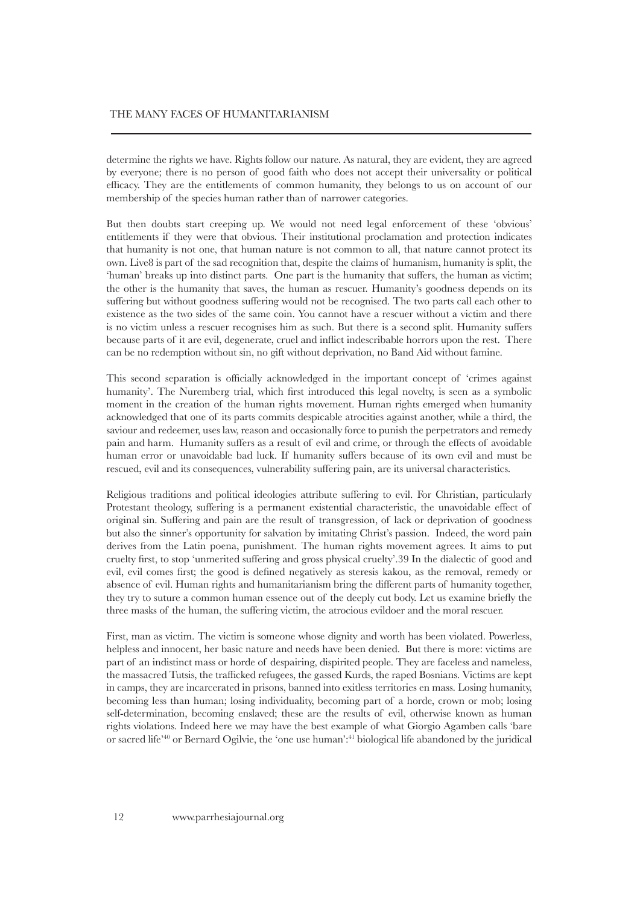determine the rights we have. Rights follow our nature. As natural, they are evident, they are agreed by everyone; there is no person of good faith who does not accept their universality or political efficacy. They are the entitlements of common humanity, they belongs to us on account of our membership of the species human rather than of narrower categories.

But then doubts start creeping up. We would not need legal enforcement of these 'obvious' entitlements if they were that obvious. Their institutional proclamation and protection indicates that humanity is not one, that human nature is not common to all, that nature cannot protect its own. Live8 is part of the sad recognition that, despite the claims of humanism, humanity is split, the 'human' breaks up into distinct parts. One part is the humanity that suffers, the human as victim; the other is the humanity that saves, the human as rescuer. Humanity's goodness depends on its suffering but without goodness suffering would not be recognised. The two parts call each other to existence as the two sides of the same coin. You cannot have a rescuer without a victim and there is no victim unless a rescuer recognises him as such. But there is a second split. Humanity suffers because parts of it are evil, degenerate, cruel and inflict indescribable horrors upon the rest. There can be no redemption without sin, no gift without deprivation, no Band Aid without famine.

This second separation is officially acknowledged in the important concept of 'crimes against humanity'. The Nuremberg trial, which first introduced this legal novelty, is seen as a symbolic moment in the creation of the human rights movement. Human rights emerged when humanity acknowledged that one of its parts commits despicable atrocities against another, while a third, the saviour and redeemer, uses law, reason and occasionally force to punish the perpetrators and remedy pain and harm. Humanity suffers as a result of evil and crime, or through the effects of avoidable human error or unavoidable bad luck. If humanity suffers because of its own evil and must be rescued, evil and its consequences, vulnerability suffering pain, are its universal characteristics.

Religious traditions and political ideologies attribute suffering to evil. For Christian, particularly Protestant theology, suffering is a permanent existential characteristic, the unavoidable effect of original sin. Suffering and pain are the result of transgression, of lack or deprivation of goodness but also the sinner's opportunity for salvation by imitating Christ's passion. Indeed, the word pain derives from the Latin poena, punishment. The human rights movement agrees. It aims to put cruelty first, to stop 'unmerited suffering and gross physical cruelty'.39 In the dialectic of good and evil, evil comes first; the good is defined negatively as steresis kakou, as the removal, remedy or absence of evil. Human rights and humanitarianism bring the different parts of humanity together, they try to suture a common human essence out of the deeply cut body. Let us examine briefly the three masks of the human, the suffering victim, the atrocious evildoer and the moral rescuer.

First, man as victim. The victim is someone whose dignity and worth has been violated. Powerless, helpless and innocent, her basic nature and needs have been denied. But there is more: victims are part of an indistinct mass or horde of despairing, dispirited people. They are faceless and nameless, the massacred Tutsis, the trafficked refugees, the gassed Kurds, the raped Bosnians. Victims are kept in camps, they are incarcerated in prisons, banned into exitless territories en mass. Losing humanity, becoming less than human; losing individuality, becoming part of a horde, crown or mob; losing self-determination, becoming enslaved; these are the results of evil, otherwise known as human rights violations. Indeed here we may have the best example of what Giorgio Agamben calls 'bare or sacred life'40 or Bernard Ogilvie, the 'one use human':41 biological life abandoned by the juridical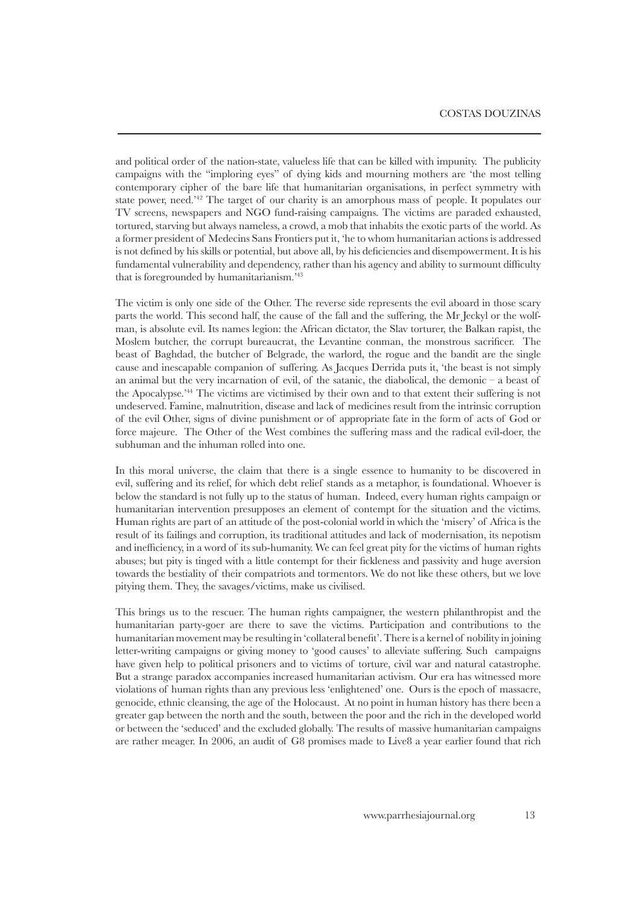and political order of the nation-state, valueless life that can be killed with impunity. The publicity campaigns with the "imploring eyes" of dying kids and mourning mothers are 'the most telling contemporary cipher of the bare life that humanitarian organisations, in perfect symmetry with state power, need.'42 The target of our charity is an amorphous mass of people. It populates our TV screens, newspapers and NGO fund-raising campaigns. The victims are paraded exhausted, tortured, starving but always nameless, a crowd, a mob that inhabits the exotic parts of the world. As a former president of Medecins Sans Frontiers put it, 'he to whom humanitarian actions is addressed is not defined by his skills or potential, but above all, by his deficiencies and disempowerment. It is his fundamental vulnerability and dependency, rather than his agency and ability to surmount difficulty that is foregrounded by humanitarianism.'43

The victim is only one side of the Other. The reverse side represents the evil aboard in those scary parts the world. This second half, the cause of the fall and the suffering, the Mr Jeckyl or the wolfman, is absolute evil. Its names legion: the African dictator, the Slav torturer, the Balkan rapist, the Moslem butcher, the corrupt bureaucrat, the Levantine conman, the monstrous sacrificer. The beast of Baghdad, the butcher of Belgrade, the warlord, the rogue and the bandit are the single cause and inescapable companion of suffering. As Jacques Derrida puts it, 'the beast is not simply an animal but the very incarnation of evil, of the satanic, the diabolical, the demonic – a beast of the Apocalypse.'44 The victims are victimised by their own and to that extent their suffering is not undeserved. Famine, malnutrition, disease and lack of medicines result from the intrinsic corruption of the evil Other, signs of divine punishment or of appropriate fate in the form of acts of God or force majeure. The Other of the West combines the suffering mass and the radical evil-doer, the subhuman and the inhuman rolled into one.

In this moral universe, the claim that there is a single essence to humanity to be discovered in evil, suffering and its relief, for which debt relief stands as a metaphor, is foundational. Whoever is below the standard is not fully up to the status of human. Indeed, every human rights campaign or humanitarian intervention presupposes an element of contempt for the situation and the victims. Human rights are part of an attitude of the post-colonial world in which the 'misery' of Africa is the result of its failings and corruption, its traditional attitudes and lack of modernisation, its nepotism and inefficiency, in a word of its sub-humanity. We can feel great pity for the victims of human rights abuses; but pity is tinged with a little contempt for their fickleness and passivity and huge aversion towards the bestiality of their compatriots and tormentors. We do not like these others, but we love pitying them. They, the savages/victims, make us civilised.

This brings us to the rescuer. The human rights campaigner, the western philanthropist and the humanitarian party-goer are there to save the victims. Participation and contributions to the humanitarian movement may be resulting in 'collateral benefit'. There is a kernel of nobility in joining letter-writing campaigns or giving money to 'good causes' to alleviate suffering. Such campaigns have given help to political prisoners and to victims of torture, civil war and natural catastrophe. But a strange paradox accompanies increased humanitarian activism. Our era has witnessed more violations of human rights than any previous less 'enlightened' one. Ours is the epoch of massacre, genocide, ethnic cleansing, the age of the Holocaust. At no point in human history has there been a greater gap between the north and the south, between the poor and the rich in the developed world or between the 'seduced' and the excluded globally. The results of massive humanitarian campaigns are rather meager. In 2006, an audit of G8 promises made to Live8 a year earlier found that rich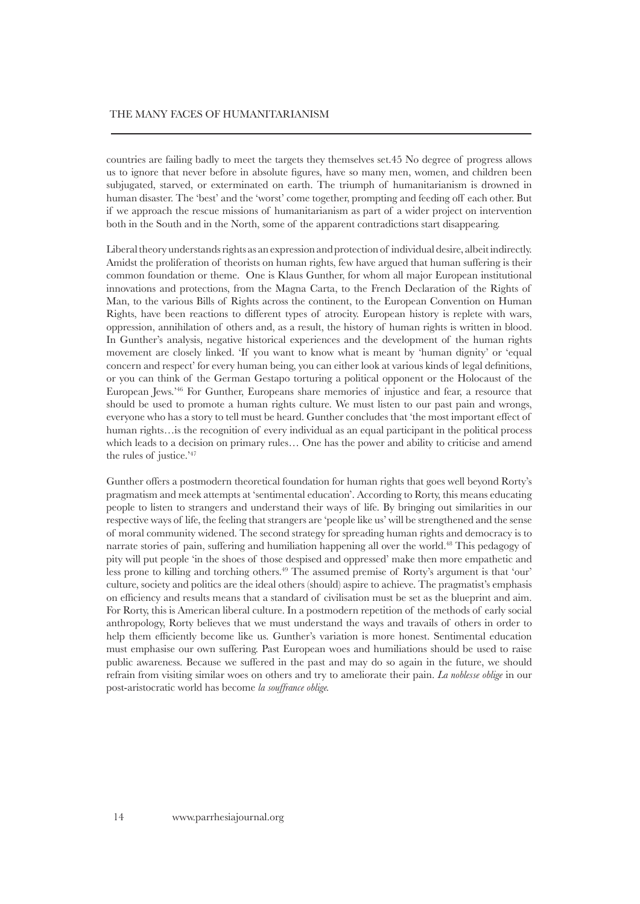countries are failing badly to meet the targets they themselves set.45 No degree of progress allows us to ignore that never before in absolute figures, have so many men, women, and children been subjugated, starved, or exterminated on earth. The triumph of humanitarianism is drowned in human disaster. The 'best' and the 'worst' come together, prompting and feeding off each other. But if we approach the rescue missions of humanitarianism as part of a wider project on intervention both in the South and in the North, some of the apparent contradictions start disappearing.

Liberal theory understands rights as an expression and protection of individual desire, albeit indirectly. Amidst the proliferation of theorists on human rights, few have argued that human suffering is their common foundation or theme. One is Klaus Gunther, for whom all major European institutional innovations and protections, from the Magna Carta, to the French Declaration of the Rights of Man, to the various Bills of Rights across the continent, to the European Convention on Human Rights, have been reactions to different types of atrocity. European history is replete with wars, oppression, annihilation of others and, as a result, the history of human rights is written in blood. In Gunther's analysis, negative historical experiences and the development of the human rights movement are closely linked. 'If you want to know what is meant by 'human dignity' or 'equal concern and respect' for every human being, you can either look at various kinds of legal definitions, or you can think of the German Gestapo torturing a political opponent or the Holocaust of the European Jews.'46 For Gunther, Europeans share memories of injustice and fear, a resource that should be used to promote a human rights culture. We must listen to our past pain and wrongs, everyone who has a story to tell must be heard. Gunther concludes that 'the most important effect of human rights…is the recognition of every individual as an equal participant in the political process which leads to a decision on primary rules… One has the power and ability to criticise and amend the rules of justice.'<sup>47</sup>

Gunther offers a postmodern theoretical foundation for human rights that goes well beyond Rorty's pragmatism and meek attempts at 'sentimental education'. According to Rorty, this means educating people to listen to strangers and understand their ways of life. By bringing out similarities in our respective ways of life, the feeling that strangers are 'people like us' will be strengthened and the sense of moral community widened. The second strategy for spreading human rights and democracy is to narrate stories of pain, suffering and humiliation happening all over the world.<sup>48</sup> This pedagogy of pity will put people 'in the shoes of those despised and oppressed' make then more empathetic and less prone to killing and torching others.49 The assumed premise of Rorty's argument is that 'our' culture, society and politics are the ideal others (should) aspire to achieve. The pragmatist's emphasis on efficiency and results means that a standard of civilisation must be set as the blueprint and aim. For Rorty, this is American liberal culture. In a postmodern repetition of the methods of early social anthropology, Rorty believes that we must understand the ways and travails of others in order to help them efficiently become like us. Gunther's variation is more honest. Sentimental education must emphasise our own suffering. Past European woes and humiliations should be used to raise public awareness. Because we suffered in the past and may do so again in the future, we should refrain from visiting similar woes on others and try to ameliorate their pain. *La noblesse oblige* in our post-aristocratic world has become *la souffrance oblige.*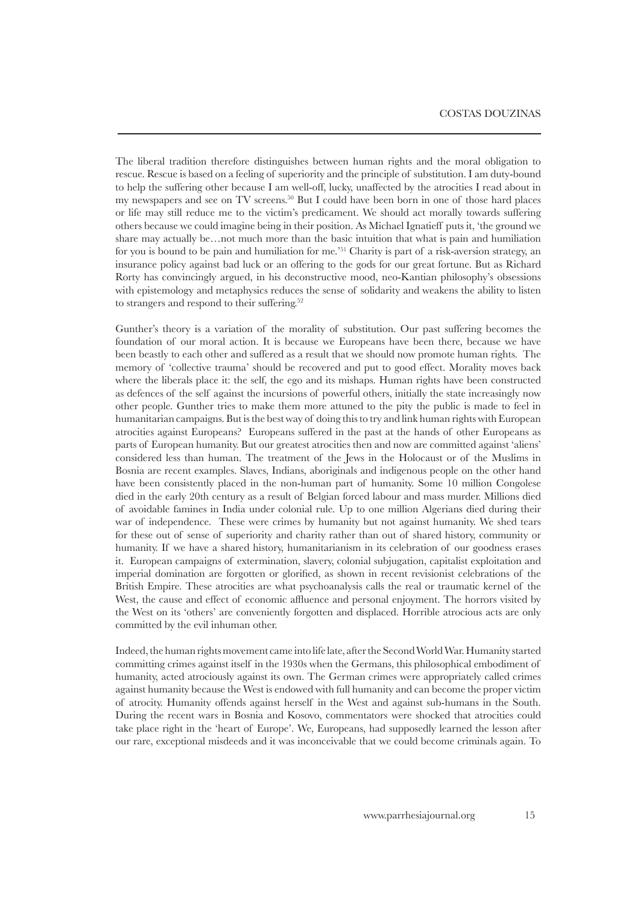The liberal tradition therefore distinguishes between human rights and the moral obligation to rescue. Rescue is based on a feeling of superiority and the principle of substitution. I am duty-bound to help the suffering other because I am well-off, lucky, unaffected by the atrocities I read about in my newspapers and see on TV screens.<sup>50</sup> But I could have been born in one of those hard places or life may still reduce me to the victim's predicament. We should act morally towards suffering others because we could imagine being in their position. As Michael Ignatieff puts it, 'the ground we share may actually be…not much more than the basic intuition that what is pain and humiliation for you is bound to be pain and humiliation for me.'51 Charity is part of a risk-aversion strategy, an insurance policy against bad luck or an offering to the gods for our great fortune. But as Richard Rorty has convincingly argued, in his deconstructive mood, neo-Kantian philosophy's obsessions with epistemology and metaphysics reduces the sense of solidarity and weakens the ability to listen to strangers and respond to their suffering.<sup>52</sup>

Gunther's theory is a variation of the morality of substitution. Our past suffering becomes the foundation of our moral action. It is because we Europeans have been there, because we have been beastly to each other and suffered as a result that we should now promote human rights. The memory of 'collective trauma' should be recovered and put to good effect. Morality moves back where the liberals place it: the self, the ego and its mishaps. Human rights have been constructed as defences of the self against the incursions of powerful others, initially the state increasingly now other people. Gunther tries to make them more attuned to the pity the public is made to feel in humanitarian campaigns. But is the best way of doing this to try and link human rights with European atrocities against Europeans? Europeans suffered in the past at the hands of other Europeans as parts of European humanity. But our greatest atrocities then and now are committed against 'aliens' considered less than human. The treatment of the Jews in the Holocaust or of the Muslims in Bosnia are recent examples. Slaves, Indians, aboriginals and indigenous people on the other hand have been consistently placed in the non-human part of humanity. Some 10 million Congolese died in the early 20th century as a result of Belgian forced labour and mass murder. Millions died of avoidable famines in India under colonial rule. Up to one million Algerians died during their war of independence. These were crimes by humanity but not against humanity. We shed tears for these out of sense of superiority and charity rather than out of shared history, community or humanity. If we have a shared history, humanitarianism in its celebration of our goodness erases it. European campaigns of extermination, slavery, colonial subjugation, capitalist exploitation and imperial domination are forgotten or glorified, as shown in recent revisionist celebrations of the British Empire. These atrocities are what psychoanalysis calls the real or traumatic kernel of the West, the cause and effect of economic affluence and personal enjoyment. The horrors visited by the West on its 'others' are conveniently forgotten and displaced. Horrible atrocious acts are only committed by the evil inhuman other.

Indeed, the human rights movement came into life late, after the Second World War. Humanity started committing crimes against itself in the 1930s when the Germans, this philosophical embodiment of humanity, acted atrociously against its own. The German crimes were appropriately called crimes against humanity because the West is endowed with full humanity and can become the proper victim of atrocity. Humanity offends against herself in the West and against sub-humans in the South. During the recent wars in Bosnia and Kosovo, commentators were shocked that atrocities could take place right in the 'heart of Europe'. We, Europeans, had supposedly learned the lesson after our rare, exceptional misdeeds and it was inconceivable that we could become criminals again. To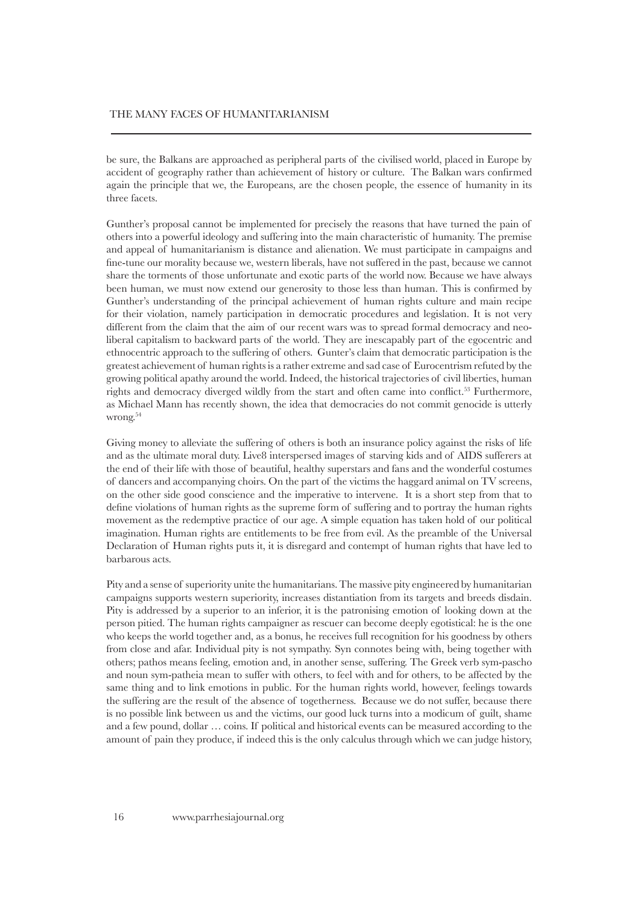be sure, the Balkans are approached as peripheral parts of the civilised world, placed in Europe by accident of geography rather than achievement of history or culture. The Balkan wars confirmed again the principle that we, the Europeans, are the chosen people, the essence of humanity in its three facets.

Gunther's proposal cannot be implemented for precisely the reasons that have turned the pain of others into a powerful ideology and suffering into the main characteristic of humanity. The premise and appeal of humanitarianism is distance and alienation. We must participate in campaigns and fine-tune our morality because we, western liberals, have not suffered in the past, because we cannot share the torments of those unfortunate and exotic parts of the world now. Because we have always been human, we must now extend our generosity to those less than human. This is confirmed by Gunther's understanding of the principal achievement of human rights culture and main recipe for their violation, namely participation in democratic procedures and legislation. It is not very different from the claim that the aim of our recent wars was to spread formal democracy and neoliberal capitalism to backward parts of the world. They are inescapably part of the egocentric and ethnocentric approach to the suffering of others. Gunter's claim that democratic participation is the greatest achievement of human rights is a rather extreme and sad case of Eurocentrism refuted by the growing political apathy around the world. Indeed, the historical trajectories of civil liberties, human rights and democracy diverged wildly from the start and often came into conflict.53 Furthermore, as Michael Mann has recently shown, the idea that democracies do not commit genocide is utterly wrong.54

Giving money to alleviate the suffering of others is both an insurance policy against the risks of life and as the ultimate moral duty. Live8 interspersed images of starving kids and of AIDS sufferers at the end of their life with those of beautiful, healthy superstars and fans and the wonderful costumes of dancers and accompanying choirs. On the part of the victims the haggard animal on TV screens, on the other side good conscience and the imperative to intervene. It is a short step from that to define violations of human rights as the supreme form of suffering and to portray the human rights movement as the redemptive practice of our age. A simple equation has taken hold of our political imagination. Human rights are entitlements to be free from evil. As the preamble of the Universal Declaration of Human rights puts it, it is disregard and contempt of human rights that have led to barbarous acts.

Pity and a sense of superiority unite the humanitarians. The massive pity engineered by humanitarian campaigns supports western superiority, increases distantiation from its targets and breeds disdain. Pity is addressed by a superior to an inferior, it is the patronising emotion of looking down at the person pitied. The human rights campaigner as rescuer can become deeply egotistical: he is the one who keeps the world together and, as a bonus, he receives full recognition for his goodness by others from close and afar. Individual pity is not sympathy. Syn connotes being with, being together with others; pathos means feeling, emotion and, in another sense, suffering. The Greek verb sym-pascho and noun sym-patheia mean to suffer with others, to feel with and for others, to be affected by the same thing and to link emotions in public. For the human rights world, however, feelings towards the suffering are the result of the absence of togetherness. Because we do not suffer, because there is no possible link between us and the victims, our good luck turns into a modicum of guilt, shame and a few pound, dollar … coins. If political and historical events can be measured according to the amount of pain they produce, if indeed this is the only calculus through which we can judge history,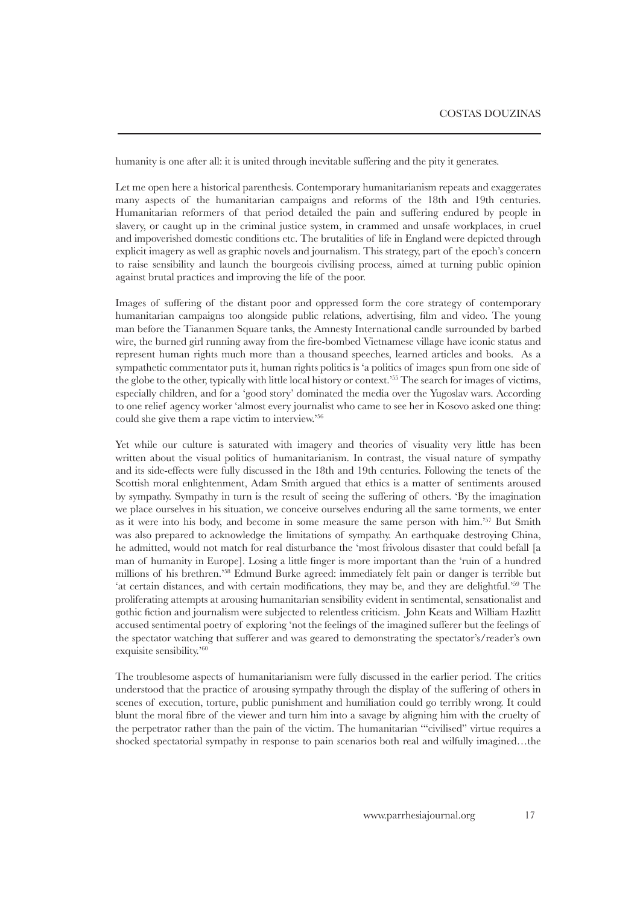humanity is one after all: it is united through inevitable suffering and the pity it generates.

Let me open here a historical parenthesis. Contemporary humanitarianism repeats and exaggerates many aspects of the humanitarian campaigns and reforms of the 18th and 19th centuries. Humanitarian reformers of that period detailed the pain and suffering endured by people in slavery, or caught up in the criminal justice system, in crammed and unsafe workplaces, in cruel and impoverished domestic conditions etc. The brutalities of life in England were depicted through explicit imagery as well as graphic novels and journalism. This strategy, part of the epoch's concern to raise sensibility and launch the bourgeois civilising process, aimed at turning public opinion against brutal practices and improving the life of the poor.

Images of suffering of the distant poor and oppressed form the core strategy of contemporary humanitarian campaigns too alongside public relations, advertising, film and video. The young man before the Tiananmen Square tanks, the Amnesty International candle surrounded by barbed wire, the burned girl running away from the fire-bombed Vietnamese village have iconic status and represent human rights much more than a thousand speeches, learned articles and books. As a sympathetic commentator puts it, human rights politics is 'a politics of images spun from one side of the globe to the other, typically with little local history or context.'55 The search for images of victims, especially children, and for a 'good story' dominated the media over the Yugoslav wars. According to one relief agency worker 'almost every journalist who came to see her in Kosovo asked one thing: could she give them a rape victim to interview.'56

Yet while our culture is saturated with imagery and theories of visuality very little has been written about the visual politics of humanitarianism. In contrast, the visual nature of sympathy and its side-effects were fully discussed in the 18th and 19th centuries. Following the tenets of the Scottish moral enlightenment, Adam Smith argued that ethics is a matter of sentiments aroused by sympathy. Sympathy in turn is the result of seeing the suffering of others. 'By the imagination we place ourselves in his situation, we conceive ourselves enduring all the same torments, we enter as it were into his body, and become in some measure the same person with him.'57 But Smith was also prepared to acknowledge the limitations of sympathy. An earthquake destroying China, he admitted, would not match for real disturbance the 'most frivolous disaster that could befall [a man of humanity in Europe]. Losing a little finger is more important than the 'ruin of a hundred millions of his brethren.'58 Edmund Burke agreed: immediately felt pain or danger is terrible but 'at certain distances, and with certain modifications, they may be, and they are delightful.'59 The proliferating attempts at arousing humanitarian sensibility evident in sentimental, sensationalist and gothic fiction and journalism were subjected to relentless criticism. John Keats and William Hazlitt accused sentimental poetry of exploring 'not the feelings of the imagined sufferer but the feelings of the spectator watching that sufferer and was geared to demonstrating the spectator's/reader's own exquisite sensibility.'60

The troublesome aspects of humanitarianism were fully discussed in the earlier period. The critics understood that the practice of arousing sympathy through the display of the suffering of others in scenes of execution, torture, public punishment and humiliation could go terribly wrong. It could blunt the moral fibre of the viewer and turn him into a savage by aligning him with the cruelty of the perpetrator rather than the pain of the victim. The humanitarian '"civilised" virtue requires a shocked spectatorial sympathy in response to pain scenarios both real and wilfully imagined...the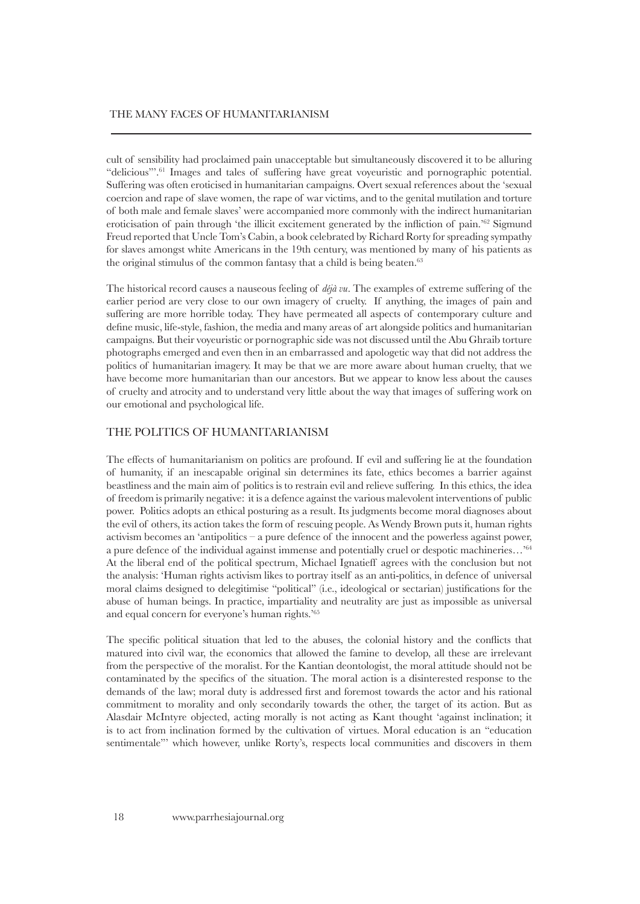cult of sensibility had proclaimed pain unacceptable but simultaneously discovered it to be alluring "delicious"'.61 Images and tales of suffering have great voyeuristic and pornographic potential. Suffering was often eroticised in humanitarian campaigns. Overt sexual references about the 'sexual coercion and rape of slave women, the rape of war victims, and to the genital mutilation and torture of both male and female slaves' were accompanied more commonly with the indirect humanitarian eroticisation of pain through 'the illicit excitement generated by the infliction of pain.'<sup>62</sup> Sigmund Freud reported that Uncle Tom's Cabin, a book celebrated by Richard Rorty for spreading sympathy for slaves amongst white Americans in the 19th century, was mentioned by many of his patients as the original stimulus of the common fantasy that a child is being beaten.<sup>63</sup>

The historical record causes a nauseous feeling of *déjà vu*. The examples of extreme suffering of the earlier period are very close to our own imagery of cruelty. If anything, the images of pain and suffering are more horrible today. They have permeated all aspects of contemporary culture and define music, life-style, fashion, the media and many areas of art alongside politics and humanitarian campaigns. But their voyeuristic or pornographic side was not discussed until the Abu Ghraib torture photographs emerged and even then in an embarrassed and apologetic way that did not address the politics of humanitarian imagery. It may be that we are more aware about human cruelty, that we have become more humanitarian than our ancestors. But we appear to know less about the causes of cruelty and atrocity and to understand very little about the way that images of suffering work on our emotional and psychological life.

## THE POLITICS OF HUMANITARIANISM

The effects of humanitarianism on politics are profound. If evil and suffering lie at the foundation of humanity, if an inescapable original sin determines its fate, ethics becomes a barrier against beastliness and the main aim of politics is to restrain evil and relieve suffering. In this ethics, the idea of freedom is primarily negative: it is a defence against the various malevolent interventions of public power. Politics adopts an ethical posturing as a result. Its judgments become moral diagnoses about the evil of others, its action takes the form of rescuing people. As Wendy Brown puts it, human rights activism becomes an 'antipolitics – a pure defence of the innocent and the powerless against power, a pure defence of the individual against immense and potentially cruel or despotic machineries…'64 At the liberal end of the political spectrum, Michael Ignatieff agrees with the conclusion but not the analysis: 'Human rights activism likes to portray itself as an anti-politics, in defence of universal moral claims designed to delegitimise "political" (i.e., ideological or sectarian) justifications for the abuse of human beings. In practice, impartiality and neutrality are just as impossible as universal and equal concern for everyone's human rights.'65

The specific political situation that led to the abuses, the colonial history and the conflicts that matured into civil war, the economics that allowed the famine to develop, all these are irrelevant from the perspective of the moralist. For the Kantian deontologist, the moral attitude should not be contaminated by the specifics of the situation. The moral action is a disinterested response to the demands of the law; moral duty is addressed first and foremost towards the actor and his rational commitment to morality and only secondarily towards the other, the target of its action. But as Alasdair McIntyre objected, acting morally is not acting as Kant thought 'against inclination; it is to act from inclination formed by the cultivation of virtues. Moral education is an "education sentimentale"' which however, unlike Rorty's, respects local communities and discovers in them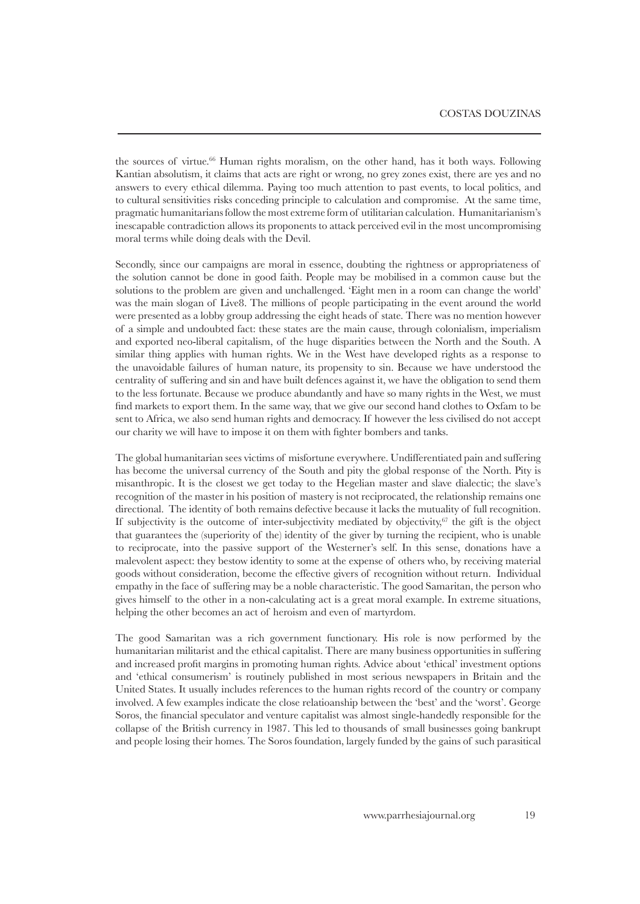the sources of virtue.<sup>66</sup> Human rights moralism, on the other hand, has it both ways. Following Kantian absolutism, it claims that acts are right or wrong, no grey zones exist, there are yes and no answers to every ethical dilemma. Paying too much attention to past events, to local politics, and to cultural sensitivities risks conceding principle to calculation and compromise. At the same time, pragmatic humanitarians follow the most extreme form of utilitarian calculation. Humanitarianism's inescapable contradiction allows its proponents to attack perceived evil in the most uncompromising moral terms while doing deals with the Devil.

Secondly, since our campaigns are moral in essence, doubting the rightness or appropriateness of the solution cannot be done in good faith. People may be mobilised in a common cause but the solutions to the problem are given and unchallenged. 'Eight men in a room can change the world' was the main slogan of Live8. The millions of people participating in the event around the world were presented as a lobby group addressing the eight heads of state. There was no mention however of a simple and undoubted fact: these states are the main cause, through colonialism, imperialism and exported neo-liberal capitalism, of the huge disparities between the North and the South. A similar thing applies with human rights. We in the West have developed rights as a response to the unavoidable failures of human nature, its propensity to sin. Because we have understood the centrality of suffering and sin and have built defences against it, we have the obligation to send them to the less fortunate. Because we produce abundantly and have so many rights in the West, we must find markets to export them. In the same way, that we give our second hand clothes to Oxfam to be sent to Africa, we also send human rights and democracy. If however the less civilised do not accept our charity we will have to impose it on them with fighter bombers and tanks.

The global humanitarian sees victims of misfortune everywhere. Undifferentiated pain and suffering has become the universal currency of the South and pity the global response of the North. Pity is misanthropic. It is the closest we get today to the Hegelian master and slave dialectic; the slave's recognition of the master in his position of mastery is not reciprocated, the relationship remains one directional. The identity of both remains defective because it lacks the mutuality of full recognition. If subjectivity is the outcome of inter-subjectivity mediated by objectivity, $67$  the gift is the object that guarantees the (superiority of the) identity of the giver by turning the recipient, who is unable to reciprocate, into the passive support of the Westerner's self. In this sense, donations have a malevolent aspect: they bestow identity to some at the expense of others who, by receiving material goods without consideration, become the effective givers of recognition without return. Individual empathy in the face of suffering may be a noble characteristic. The good Samaritan, the person who gives himself to the other in a non-calculating act is a great moral example. In extreme situations, helping the other becomes an act of heroism and even of martyrdom.

The good Samaritan was a rich government functionary. His role is now performed by the humanitarian militarist and the ethical capitalist. There are many business opportunities in suffering and increased profit margins in promoting human rights. Advice about 'ethical' investment options and 'ethical consumerism' is routinely published in most serious newspapers in Britain and the United States. It usually includes references to the human rights record of the country or company involved. A few examples indicate the close relatioanship between the 'best' and the 'worst'. George Soros, the financial speculator and venture capitalist was almost single-handedly responsible for the collapse of the British currency in 1987. This led to thousands of small businesses going bankrupt and people losing their homes. The Soros foundation, largely funded by the gains of such parasitical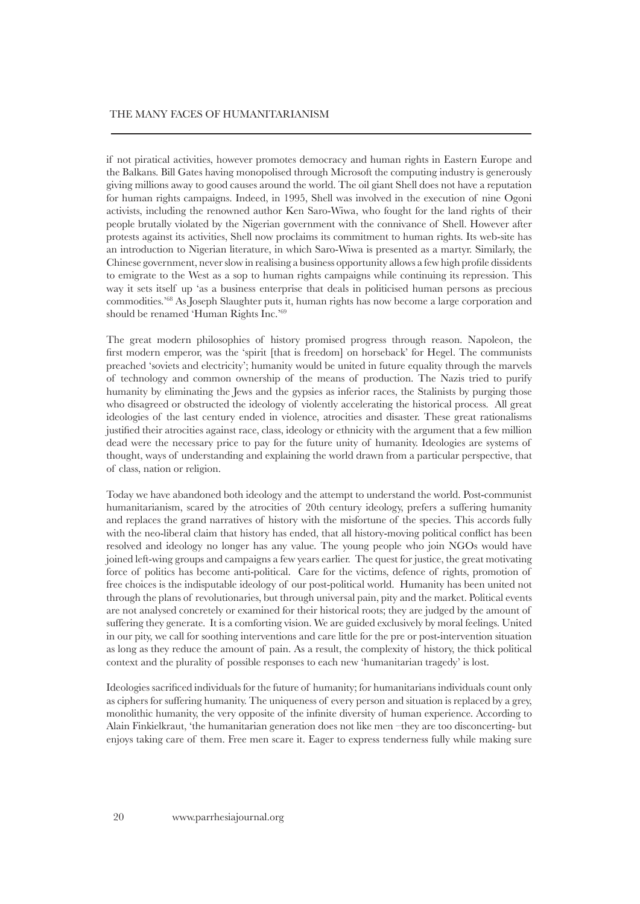if not piratical activities, however promotes democracy and human rights in Eastern Europe and the Balkans. Bill Gates having monopolised through Microsoft the computing industry is generously giving millions away to good causes around the world. The oil giant Shell does not have a reputation for human rights campaigns. Indeed, in 1995, Shell was involved in the execution of nine Ogoni activists, including the renowned author Ken Saro-Wiwa, who fought for the land rights of their people brutally violated by the Nigerian government with the connivance of Shell. However after protests against its activities, Shell now proclaims its commitment to human rights. Its web-site has an introduction to Nigerian literature, in which Saro-Wiwa is presented as a martyr. Similarly, the Chinese government, never slow in realising a business opportunity allows a few high profile dissidents to emigrate to the West as a sop to human rights campaigns while continuing its repression. This way it sets itself up 'as a business enterprise that deals in politicised human persons as precious commodities.'68 As Joseph Slaughter puts it, human rights has now become a large corporation and should be renamed 'Human Rights Inc.'69

The great modern philosophies of history promised progress through reason. Napoleon, the first modern emperor, was the 'spirit [that is freedom] on horseback' for Hegel. The communists preached 'soviets and electricity'; humanity would be united in future equality through the marvels of technology and common ownership of the means of production. The Nazis tried to purify humanity by eliminating the Jews and the gypsies as inferior races, the Stalinists by purging those who disagreed or obstructed the ideology of violently accelerating the historical process. All great ideologies of the last century ended in violence, atrocities and disaster. These great rationalisms justified their atrocities against race, class, ideology or ethnicity with the argument that a few million dead were the necessary price to pay for the future unity of humanity. Ideologies are systems of thought, ways of understanding and explaining the world drawn from a particular perspective, that of class, nation or religion.

Today we have abandoned both ideology and the attempt to understand the world. Post-communist humanitarianism, scared by the atrocities of 20th century ideology, prefers a suffering humanity and replaces the grand narratives of history with the misfortune of the species. This accords fully with the neo-liberal claim that history has ended, that all history-moving political conflict has been resolved and ideology no longer has any value. The young people who join NGOs would have joined left-wing groups and campaigns a few years earlier. The quest for justice, the great motivating force of politics has become anti-political. Care for the victims, defence of rights, promotion of free choices is the indisputable ideology of our post-political world. Humanity has been united not through the plans of revolutionaries, but through universal pain, pity and the market. Political events are not analysed concretely or examined for their historical roots; they are judged by the amount of suffering they generate. It is a comforting vision. We are guided exclusively by moral feelings. United in our pity, we call for soothing interventions and care little for the pre or post-intervention situation as long as they reduce the amount of pain. As a result, the complexity of history, the thick political context and the plurality of possible responses to each new 'humanitarian tragedy' is lost.

Ideologies sacrificed individuals for the future of humanity; for humanitarians individuals count only as ciphers for suffering humanity. The uniqueness of every person and situation is replaced by a grey, monolithic humanity, the very opposite of the infinite diversity of human experience. According to Alain Finkielkraut, 'the humanitarian generation does not like men –they are too disconcerting- but enjoys taking care of them. Free men scare it. Eager to express tenderness fully while making sure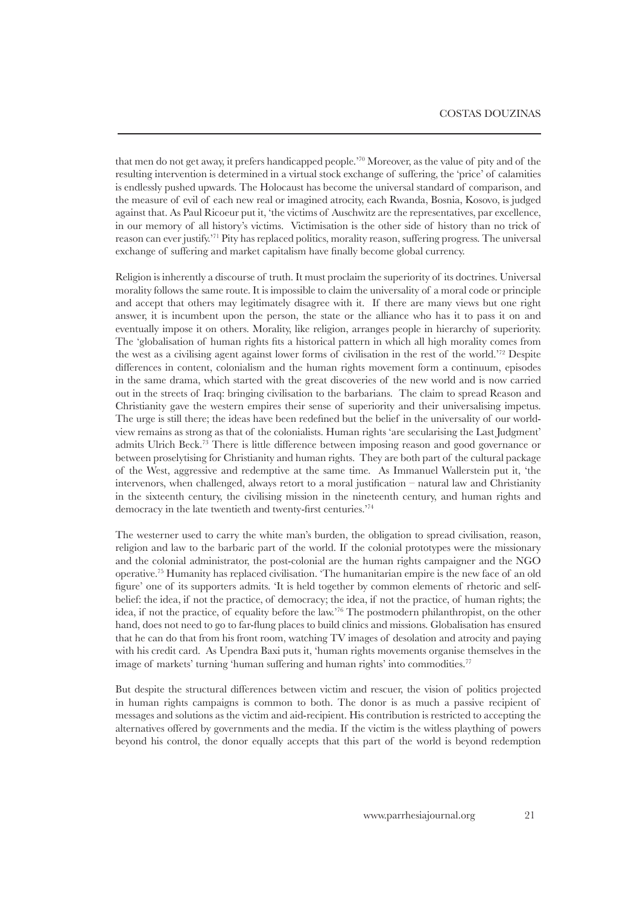that men do not get away, it prefers handicapped people.'70 Moreover, as the value of pity and of the resulting intervention is determined in a virtual stock exchange of suffering, the 'price' of calamities is endlessly pushed upwards. The Holocaust has become the universal standard of comparison, and the measure of evil of each new real or imagined atrocity, each Rwanda, Bosnia, Kosovo, is judged against that. As Paul Ricoeur put it, 'the victims of Auschwitz are the representatives, par excellence, in our memory of all history's victims. Victimisation is the other side of history than no trick of reason can ever justify.'71 Pity has replaced politics, morality reason, suffering progress. The universal exchange of suffering and market capitalism have finally become global currency.

Religion is inherently a discourse of truth. It must proclaim the superiority of its doctrines. Universal morality follows the same route. It is impossible to claim the universality of a moral code or principle and accept that others may legitimately disagree with it. If there are many views but one right answer, it is incumbent upon the person, the state or the alliance who has it to pass it on and eventually impose it on others. Morality, like religion, arranges people in hierarchy of superiority. The 'globalisation of human rights fits a historical pattern in which all high morality comes from the west as a civilising agent against lower forms of civilisation in the rest of the world.'72 Despite differences in content, colonialism and the human rights movement form a continuum, episodes in the same drama, which started with the great discoveries of the new world and is now carried out in the streets of Iraq: bringing civilisation to the barbarians. The claim to spread Reason and Christianity gave the western empires their sense of superiority and their universalising impetus. The urge is still there; the ideas have been redefined but the belief in the universality of our worldview remains as strong as that of the colonialists. Human rights 'are secularising the Last Judgment' admits Ulrich Beck.73 There is little difference between imposing reason and good governance or between proselytising for Christianity and human rights. They are both part of the cultural package of the West, aggressive and redemptive at the same time. As Immanuel Wallerstein put it, 'the intervenors, when challenged, always retort to a moral justification – natural law and Christianity in the sixteenth century, the civilising mission in the nineteenth century, and human rights and democracy in the late twentieth and twenty-first centuries.'74

The westerner used to carry the white man's burden, the obligation to spread civilisation, reason, religion and law to the barbaric part of the world. If the colonial prototypes were the missionary and the colonial administrator, the post-colonial are the human rights campaigner and the NGO operative.75 Humanity has replaced civilisation. 'The humanitarian empire is the new face of an old figure' one of its supporters admits. 'It is held together by common elements of rhetoric and selfbelief: the idea, if not the practice, of democracy; the idea, if not the practice, of human rights; the idea, if not the practice, of equality before the law.'76 The postmodern philanthropist, on the other hand, does not need to go to far-flung places to build clinics and missions. Globalisation has ensured that he can do that from his front room, watching TV images of desolation and atrocity and paying with his credit card. As Upendra Baxi puts it, 'human rights movements organise themselves in the image of markets' turning 'human suffering and human rights' into commodities.<sup>77</sup>

But despite the structural differences between victim and rescuer, the vision of politics projected in human rights campaigns is common to both. The donor is as much a passive recipient of messages and solutions as the victim and aid-recipient. His contribution is restricted to accepting the alternatives offered by governments and the media. If the victim is the witless plaything of powers beyond his control, the donor equally accepts that this part of the world is beyond redemption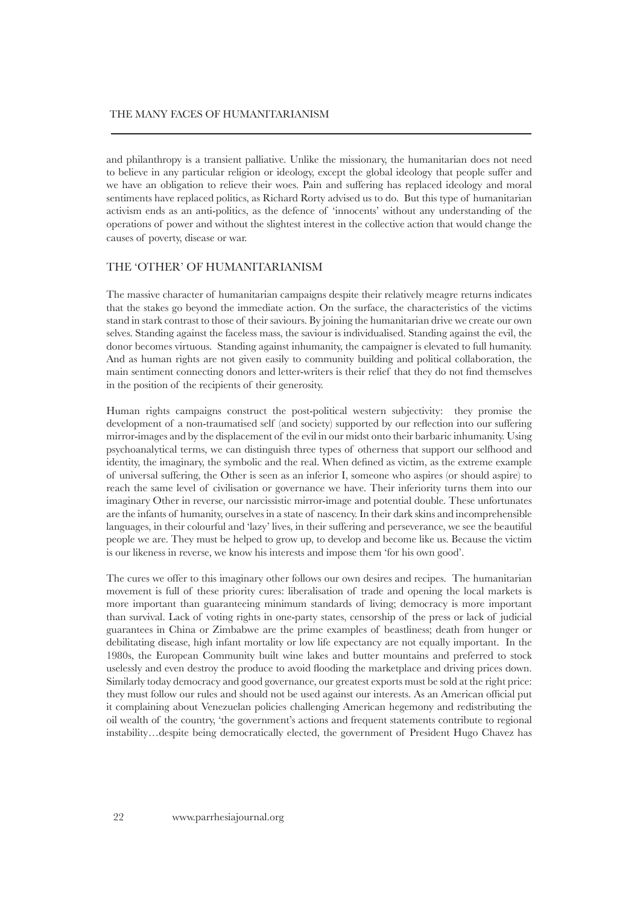and philanthropy is a transient palliative. Unlike the missionary, the humanitarian does not need to believe in any particular religion or ideology, except the global ideology that people suffer and we have an obligation to relieve their woes. Pain and suffering has replaced ideology and moral sentiments have replaced politics, as Richard Rorty advised us to do. But this type of humanitarian activism ends as an anti-politics, as the defence of 'innocents' without any understanding of the operations of power and without the slightest interest in the collective action that would change the causes of poverty, disease or war.

#### THE 'OTHER' OF HUMANITARIANISM

The massive character of humanitarian campaigns despite their relatively meagre returns indicates that the stakes go beyond the immediate action. On the surface, the characteristics of the victims stand in stark contrast to those of their saviours. By joining the humanitarian drive we create our own selves. Standing against the faceless mass, the saviour is individualised. Standing against the evil, the donor becomes virtuous. Standing against inhumanity, the campaigner is elevated to full humanity. And as human rights are not given easily to community building and political collaboration, the main sentiment connecting donors and letter-writers is their relief that they do not find themselves in the position of the recipients of their generosity.

Human rights campaigns construct the post-political western subjectivity: they promise the development of a non-traumatised self (and society) supported by our reflection into our suffering mirror-images and by the displacement of the evil in our midst onto their barbaric inhumanity. Using psychoanalytical terms, we can distinguish three types of otherness that support our selfhood and identity, the imaginary, the symbolic and the real. When defined as victim, as the extreme example of universal suffering, the Other is seen as an inferior I, someone who aspires (or should aspire) to reach the same level of civilisation or governance we have. Their inferiority turns them into our imaginary Other in reverse, our narcissistic mirror-image and potential double. These unfortunates are the infants of humanity, ourselves in a state of nascency. In their dark skins and incomprehensible languages, in their colourful and 'lazy' lives, in their suffering and perseverance, we see the beautiful people we are. They must be helped to grow up, to develop and become like us. Because the victim is our likeness in reverse, we know his interests and impose them 'for his own good'.

The cures we offer to this imaginary other follows our own desires and recipes. The humanitarian movement is full of these priority cures: liberalisation of trade and opening the local markets is more important than guaranteeing minimum standards of living; democracy is more important than survival. Lack of voting rights in one-party states, censorship of the press or lack of judicial guarantees in China or Zimbabwe are the prime examples of beastliness; death from hunger or debilitating disease, high infant mortality or low life expectancy are not equally important. In the 1980s, the European Community built wine lakes and butter mountains and preferred to stock uselessly and even destroy the produce to avoid flooding the marketplace and driving prices down. Similarly today democracy and good governance, our greatest exports must be sold at the right price: they must follow our rules and should not be used against our interests. As an American official put it complaining about Venezuelan policies challenging American hegemony and redistributing the oil wealth of the country, 'the government's actions and frequent statements contribute to regional instability…despite being democratically elected, the government of President Hugo Chavez has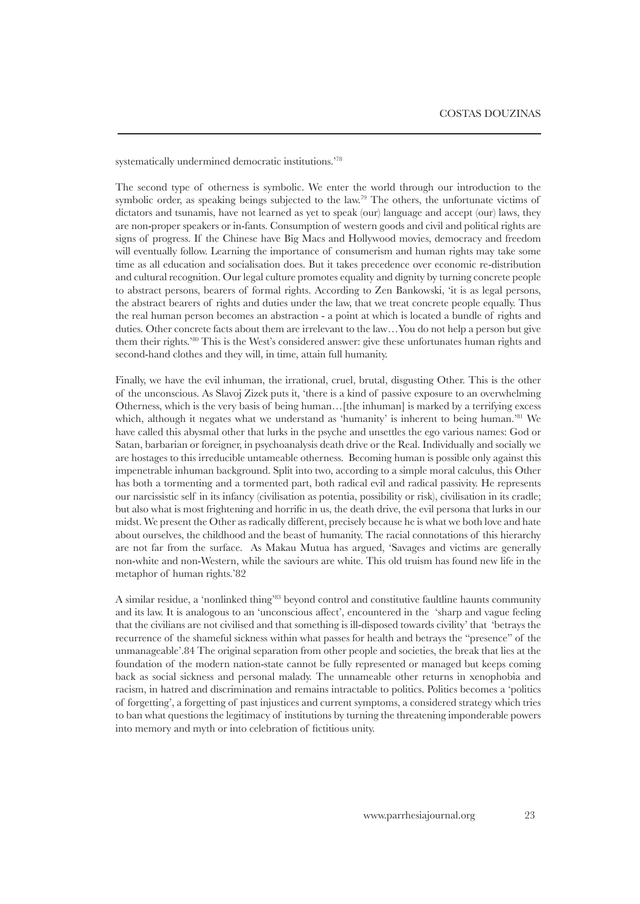systematically undermined democratic institutions.'78

The second type of otherness is symbolic. We enter the world through our introduction to the symbolic order, as speaking beings subjected to the law.<sup>79</sup> The others, the unfortunate victims of dictators and tsunamis, have not learned as yet to speak (our) language and accept (our) laws, they are non-proper speakers or in-fants. Consumption of western goods and civil and political rights are signs of progress. If the Chinese have Big Macs and Hollywood movies, democracy and freedom will eventually follow. Learning the importance of consumerism and human rights may take some time as all education and socialisation does. But it takes precedence over economic re-distribution and cultural recognition. Our legal culture promotes equality and dignity by turning concrete people to abstract persons, bearers of formal rights. According to Zen Bankowski, 'it is as legal persons, the abstract bearers of rights and duties under the law, that we treat concrete people equally. Thus the real human person becomes an abstraction - a point at which is located a bundle of rights and duties. Other concrete facts about them are irrelevant to the law…You do not help a person but give them their rights.'80 This is the West's considered answer: give these unfortunates human rights and second-hand clothes and they will, in time, attain full humanity.

Finally, we have the evil inhuman, the irrational, cruel, brutal, disgusting Other. This is the other of the unconscious. As Slavoj Zizek puts it, 'there is a kind of passive exposure to an overwhelming Otherness, which is the very basis of being human…[the inhuman] is marked by a terrifying excess which, although it negates what we understand as 'humanity' is inherent to being human.<sup>'81</sup> We have called this abysmal other that lurks in the psyche and unsettles the ego various names: God or Satan, barbarian or foreigner, in psychoanalysis death drive or the Real. Individually and socially we are hostages to this irreducible untameable otherness. Becoming human is possible only against this impenetrable inhuman background. Split into two, according to a simple moral calculus, this Other has both a tormenting and a tormented part, both radical evil and radical passivity. He represents our narcissistic self in its infancy (civilisation as potentia, possibility or risk), civilisation in its cradle; but also what is most frightening and horrific in us, the death drive, the evil persona that lurks in our midst. We present the Other as radically different, precisely because he is what we both love and hate about ourselves, the childhood and the beast of humanity. The racial connotations of this hierarchy are not far from the surface. As Makau Mutua has argued, 'Savages and victims are generally non-white and non-Western, while the saviours are white. This old truism has found new life in the metaphor of human rights.'82

A similar residue, a 'nonlinked thing'83 beyond control and constitutive faultline haunts community and its law. It is analogous to an 'unconscious affect', encountered in the 'sharp and vague feeling that the civilians are not civilised and that something is ill-disposed towards civility' that 'betrays the recurrence of the shameful sickness within what passes for health and betrays the "presence" of the unmanageable'.84 The original separation from other people and societies, the break that lies at the foundation of the modern nation-state cannot be fully represented or managed but keeps coming back as social sickness and personal malady. The unnameable other returns in xenophobia and racism, in hatred and discrimination and remains intractable to politics. Politics becomes a 'politics of forgetting', a forgetting of past injustices and current symptoms, a considered strategy which tries to ban what questions the legitimacy of institutions by turning the threatening imponderable powers into memory and myth or into celebration of fictitious unity.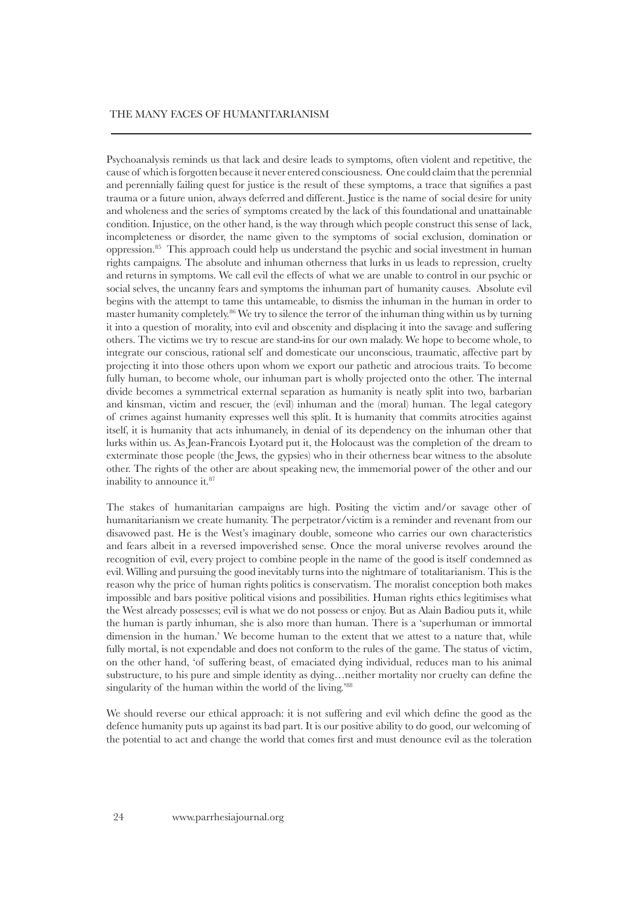Psychoanalysis reminds us that lack and desire leads to symptoms, often violent and repetitive, the cause of which is forgotten because it never entered consciousness. One could claim that the perennial and perennially failing quest for justice is the result of these symptoms, a trace that signifies a past trauma or a future union, always deferred and different. Justice is the name of social desire for unity and wholeness and the series of symptoms created by the lack of this foundational and unattainable condition. Injustice, on the other hand, is the way through which people construct this sense of lack, incompleteness or disorder, the name given to the symptoms of social exclusion, domination or oppression. $85$  This approach could help us understand the psychic and social investment in human rights campaigns. The absolute and inhuman otherness that lurks in us leads to repression, cruelty and returns in symptoms. We call evil the effects of what we are unable to control in our psychic or social selves, the uncanny fears and symptoms the inhuman part of humanity causes. Absolute evil begins with the attempt to tame this untameable, to dismiss the inhuman in the human in order to master humanity completely.86 We try to silence the terror of the inhuman thing within us by turning it into a question of morality, into evil and obscenity and displacing it into the savage and suffering others. The victims we try to rescue are stand-ins for our own malady. We hope to become whole, to integrate our conscious, rational self and domesticate our unconscious, traumatic, affective part by projecting it into those others upon whom we export our pathetic and atrocious traits. To become fully human, to become whole, our inhuman part is wholly projected onto the other. The internal divide becomes a symmetrical external separation as humanity is neatly split into two, barbarian and kinsman, victim and rescuer, the (evil) inhuman and the (moral) human. The legal category of crimes against humanity expresses well this split. It is humanity that commits atrocities against itself, it is humanity that acts inhumanely, in denial of its dependency on the inhuman other that lurks within us. As Jean-Francois Lyotard put it, the Holocaust was the completion of the dream to exterminate those people (the Jews, the gypsies) who in their otherness bear witness to the absolute other. The rights of the other are about speaking new, the immemorial power of the other and our inability to announce it.<sup>87</sup>

The stakes of humanitarian campaigns are high. Positing the victim and/or savage other of humanitarianism we create humanity. The perpetrator/victim is a reminder and revenant from our disavowed past. He is the West's imaginary double, someone who carries our own characteristics and fears albeit in a reversed impoverished sense. Once the moral universe revolves around the recognition of evil, every project to combine people in the name of the good is itself condemned as evil. Willing and pursuing the good inevitably turns into the nightmare of totalitarianism. This is the reason why the price of human rights politics is conservatism. The moralist conception both makes impossible and bars positive political visions and possibilities. Human rights ethics legitimises what the West already possesses; evil is what we do not possess or enjoy. But as Alain Badiou puts it, while the human is partly inhuman, she is also more than human. There is a 'superhuman or immortal dimension in the human.' We become human to the extent that we attest to a nature that, while fully mortal, is not expendable and does not conform to the rules of the game. The status of victim, on the other hand, 'of suffering beast, of emaciated dying individual, reduces man to his animal substructure, to his pure and simple identity as dying…neither mortality nor cruelty can define the singularity of the human within the world of the living.'<sup>88</sup>

We should reverse our ethical approach: it is not suffering and evil which define the good as the defence humanity puts up against its bad part. It is our positive ability to do good, our welcoming of the potential to act and change the world that comes first and must denounce evil as the toleration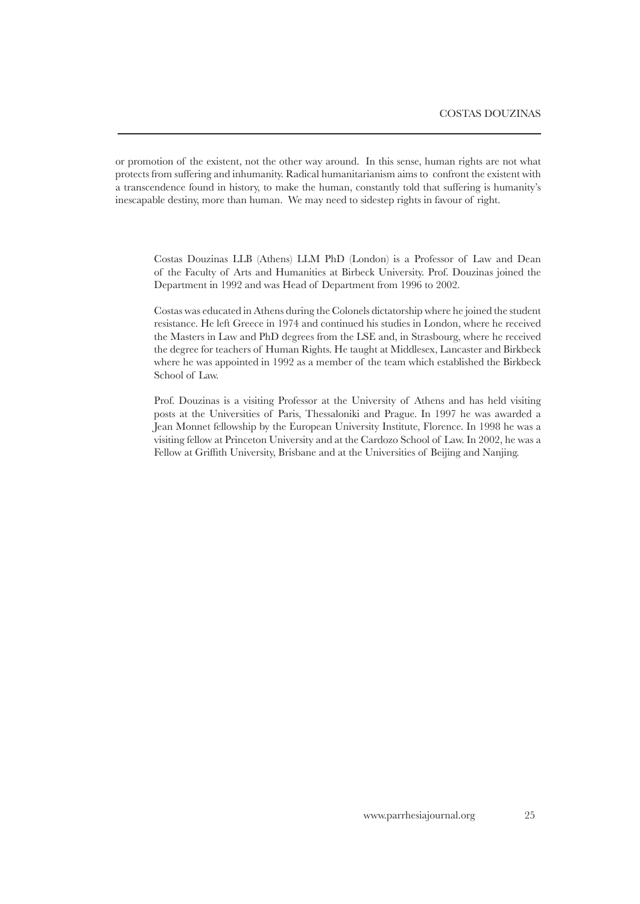or promotion of the existent, not the other way around. In this sense, human rights are not what protects from suffering and inhumanity. Radical humanitarianism aims to confront the existent with a transcendence found in history, to make the human, constantly told that suffering is humanity's inescapable destiny, more than human. We may need to sidestep rights in favour of right.

Costas Douzinas LLB (Athens) LLM PhD (London) is a Professor of Law and Dean of the Faculty of Arts and Humanities at Birbeck University. Prof. Douzinas joined the Department in 1992 and was Head of Department from 1996 to 2002.

Costas was educated in Athens during the Colonels dictatorship where he joined the student resistance. He left Greece in 1974 and continued his studies in London, where he received the Masters in Law and PhD degrees from the LSE and, in Strasbourg, where he received the degree for teachers of Human Rights. He taught at Middlesex, Lancaster and Birkbeck where he was appointed in 1992 as a member of the team which established the Birkbeck School of Law.

Prof. Douzinas is a visiting Professor at the University of Athens and has held visiting posts at the Universities of Paris, Thessaloniki and Prague. In 1997 he was awarded a Jean Monnet fellowship by the European University Institute, Florence. In 1998 he was a visiting fellow at Princeton University and at the Cardozo School of Law. In 2002, he was a Fellow at Griffith University, Brisbane and at the Universities of Beijing and Nanjing.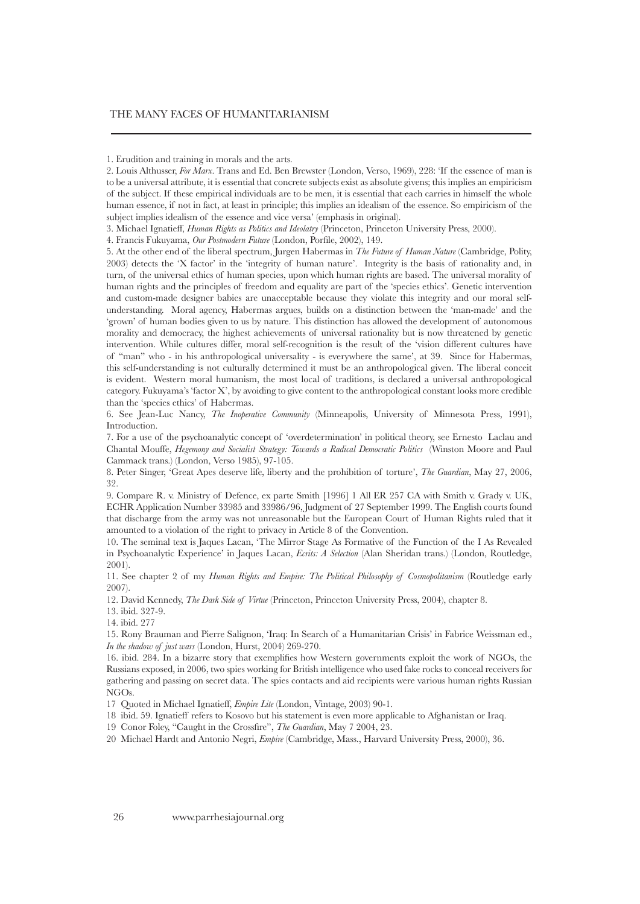3. Michael Ignatieff, *Human Rights as Politics and Ideolatry* (Princeton, Princeton University Press, 2000).

4. Francis Fukuyama, *Our Postmodern Future* (London, Porfile, 2002), 149.

6. See Jean-Luc Nancy, *The Inoperative Community* (Minneapolis, University of Minnesota Press, 1991), Introduction.

7. For a use of the psychoanalytic concept of 'overdetermination' in political theory, see Ernesto Laclau and Chantal Mouffe, *Hegemony and Socialist Strategy: Towards a Radical Democratic Politics* (Winston Moore and Paul Cammack trans.) (London, Verso 1985), 97-105.

8. Peter Singer, 'Great Apes deserve life, liberty and the prohibition of torture', *The Guardian*, May 27, 2006, 32.

9. Compare R. v. Ministry of Defence, ex parte Smith [1996] 1 All ER 257 CA with Smith v. Grady v. UK, ECHR Application Number 33985 and 33986/96, Judgment of 27 September 1999. The English courts found that discharge from the army was not unreasonable but the European Court of Human Rights ruled that it amounted to a violation of the right to privacy in Article 8 of the Convention.

10. The seminal text is Jaques Lacan, 'The Mirror Stage As Formative of the Function of the I As Revealed in Psychoanalytic Experience' in Jaques Lacan, *Ecrits: A Selection* (Alan Sheridan trans.) (London, Routledge, 2001).

11. See chapter 2 of my *Human Rights and Empire: The Political Philosophy of Cosmopolitanism* (Routledge early 2007).

12. David Kennedy, *The Dark Side of Virtue* (Princeton, Princeton University Press, 2004), chapter 8.

13. ibid. 327-9.

14. ibid. 277

15. Rony Brauman and Pierre Salignon, 'Iraq: In Search of a Humanitarian Crisis' in Fabrice Weissman ed., *In the shadow of just wars* (London, Hurst, 2004) 269-270.

16. ibid. 284. In a bizarre story that exemplifies how Western governments exploit the work of NGOs, the Russians exposed, in 2006, two spies working for British intelligence who used fake rocks to conceal receivers for gathering and passing on secret data. The spies contacts and aid recipients were various human rights Russian NGOs.

17 Quoted in Michael Ignatieff, *Empire Lite* (London, Vintage, 2003) 90-1.

- 18 ibid. 59. Ignatieff refers to Kosovo but his statement is even more applicable to Afghanistan or Iraq.
- 19 Conor Foley, "Caught in the Crossfire", *The Guardian*, May 7 2004, 23.

20 Michael Hardt and Antonio Negri, *Empire* (Cambridge, Mass., Harvard University Press, 2000), 36.

26 www.parrhesiajournal.org

<sup>1.</sup> Erudition and training in morals and the arts.

<sup>2.</sup> Louis Althusser, *For Marx*. Trans and Ed. Ben Brewster (London, Verso, 1969), 228: 'If the essence of man is to be a universal attribute, it is essential that concrete subjects exist as absolute givens; this implies an empiricism of the subject. If these empirical individuals are to be men, it is essential that each carries in himself the whole human essence, if not in fact, at least in principle; this implies an idealism of the essence. So empiricism of the subject implies idealism of the essence and vice versa' (emphasis in original).

<sup>5.</sup> At the other end of the liberal spectrum, Jurgen Habermas in *The Future of Human Nature* (Cambridge, Polity, 2003) detects the 'X factor' in the 'integrity of human nature'. Integrity is the basis of rationality and, in turn, of the universal ethics of human species, upon which human rights are based. The universal morality of human rights and the principles of freedom and equality are part of the 'species ethics'. Genetic intervention and custom-made designer babies are unacceptable because they violate this integrity and our moral selfunderstanding. Moral agency, Habermas argues, builds on a distinction between the 'man-made' and the 'grown' of human bodies given to us by nature. This distinction has allowed the development of autonomous morality and democracy, the highest achievements of universal rationality but is now threatened by genetic intervention. While cultures differ, moral self-recognition is the result of the 'vision different cultures have of "man" who - in his anthropological universality - is everywhere the same', at 39. Since for Habermas, this self-understanding is not culturally determined it must be an anthropological given. The liberal conceit is evident. Western moral humanism, the most local of traditions, is declared a universal anthropological category. Fukuyama's 'factor X', by avoiding to give content to the anthropological constant looks more credible than the 'species ethics' of Habermas.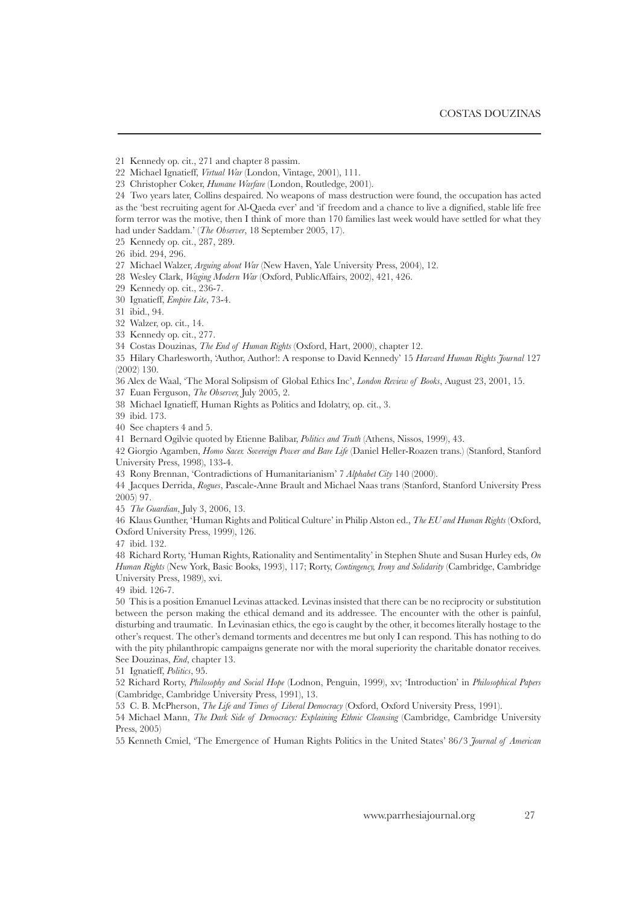- 22 Michael Ignatieff, *Virtual War* (London, Vintage, 2001), 111.
- 23 Christopher Coker, *Humane Warfare* (London, Routledge, 2001).
- 24 Two years later, Collins despaired. No weapons of mass destruction were found, the occupation has acted as the 'best recruiting agent for Al-Qaeda ever' and 'if freedom and a chance to live a dignified, stable life free form terror was the motive, then I think of more than 170 families last week would have settled for what they had under Saddam.' (*The Observer*, 18 September 2005, 17).
- 25 Kennedy op. cit., 287, 289.

26 ibid. 294, 296.

27 Michael Walzer, *Arguing about War* (New Haven, Yale University Press, 2004), 12.

28 Wesley Clark, *Waging Modern War* (Oxford, PublicAffairs, 2002), 421, 426.

29 Kennedy op. cit., 236-7.

30 Ignatieff, *Empire Lite*, 73-4.

31 ibid., 94.

32 Walzer, op. cit., 14.

33 Kennedy op. cit., 277.

34 Costas Douzinas, *The End of Human Rights* (Oxford, Hart, 2000), chapter 12.

35 Hilary Charlesworth, 'Author, Author!: A response to David Kennedy' 15 *Harvard Human Rights Journal* 127 (2002) 130.

36 Alex de Waal, 'The Moral Solipsism of Global Ethics Inc', *London Review of Books*, August 23, 2001, 15.

37 Euan Ferguson, *The Observer,* July 2005, 2.

38 Michael Ignatieff, Human Rights as Politics and Idolatry, op. cit., 3.

39 ibid. 173.

- 40 See chapters 4 and 5.
- 41 Bernard Ogilvie quoted by Etienne Balibar, *Politics and Truth* (Athens, Nissos, 1999), 43.

42 Giorgio Agamben, *Homo Sacer. Sovereign Power and Bare Life* (Daniel Heller-Roazen trans.) (Stanford, Stanford University Press, 1998), 133-4.

43 Rony Brennan, 'Contradictions of Humanitarianism' 7 *Alphabet City* 140 (2000).

44 Jacques Derrida, *Rogues*, Pascale-Anne Brault and Michael Naas trans (Stanford, Stanford University Press 2005) 97.

45 *The Guardian*, July 3, 2006, 13.

46 Klaus Gunther, 'Human Rights and Political Culture' in Philip Alston ed., *The EU and Human Rights* (Oxford, Oxford University Press, 1999), 126.

47 ibid. 132.

48 Richard Rorty, 'Human Rights, Rationality and Sentimentality' in Stephen Shute and Susan Hurley eds, *On Human Rights* (New York, Basic Books, 1993), 117; Rorty, *Contingency, Irony and Solidarity* (Cambridge, Cambridge University Press, 1989), xvi.

49 ibid. 126-7.

50 This is a position Emanuel Levinas attacked. Levinas insisted that there can be no reciprocity or substitution between the person making the ethical demand and its addressee. The encounter with the other is painful, disturbing and traumatic. In Levinasian ethics, the ego is caught by the other, it becomes literally hostage to the other's request. The other's demand torments and decentres me but only I can respond. This has nothing to do with the pity philanthropic campaigns generate nor with the moral superiority the charitable donator receives. See Douzinas, *End*, chapter 13.

51 Ignatieff, *Politics*, 95.

52 Richard Rorty, *Philosophy and Social Hope* (Lodnon, Penguin, 1999), xv; 'Introduction' in *Philosophical Papers*  (Cambridge, Cambridge University Press, 1991), 13.

53 C. B. McPherson, *The Life and Times of Liberal Democracy* (Oxford, Oxford University Press, 1991).

54 Michael Mann, *The Dark Side of Democracy: Explaining Ethnic Cleansing* (Cambridge, Cambridge University Press, 2005)

55 Kenneth Cmiel, 'The Emergence of Human Rights Politics in the United States' 86/3 *Journal of American* 

www.parrhesiajournal.org 27

<sup>21</sup> Kennedy op. cit., 271 and chapter 8 passim.